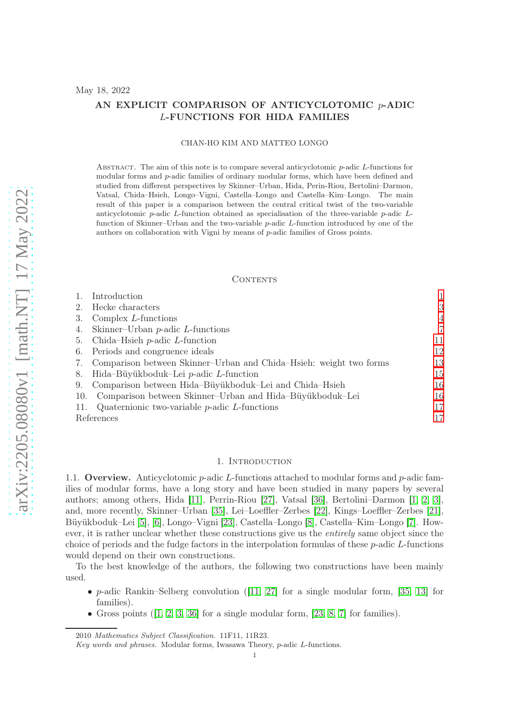#### AN EXPLICIT COMPARISON OF ANTICYCLOTOMIC  $p$ -ADIC L-FUNCTIONS FOR HIDA FAMILIES

#### CHAN-HO KIM AND MATTEO LONGO

ABSTRACT. The aim of this note is to compare several anticyclotomic  $p$ -adic  $L$ -functions for modular forms and p-adic families of ordinary modular forms, which have been defined and studied from different perspectives by Skinner–Urban, Hida, Perin-Riou, Bertolini–Darmon, Vatsal, Chida–Hsieh, Longo–Vigni, Castella–Longo and Castella–Kim–Longo. The main result of this paper is a comparison between the central critical twist of the two-variable anticyclotomic  $p$ -adic L-function obtained as specialisation of the three-variable  $p$ -adic Lfunction of Skinner–Urban and the two-variable p-adic L-function introduced by one of the authors on collaboration with Vigni by means of p-adic families of Gross points.

#### CONTENTS

|            | Introduction                                                       |                |
|------------|--------------------------------------------------------------------|----------------|
| 2.         | Hecke characters                                                   | 3              |
| 3.         | Complex $L$ -functions                                             | $\overline{4}$ |
| 4.         | Skinner-Urban $p$ -adic $L$ -functions                             | $\overline{7}$ |
| 5.         | Chida–Hsieh $p$ -adic L-function                                   | 11             |
| 6.         | Periods and congruence ideals                                      | 12             |
| 7.         | Comparison between Skinner–Urban and Chida–Hsieh: weight two forms | 13             |
| 8.         | Hida-Büyükboduk-Lei $p$ -adic L-function                           | 15             |
| 9.         | Comparison between Hida-Büyükboduk-Lei and Chida-Hsieh             | 16             |
| 10.        | Comparison between Skinner-Urban and Hida-Büyükboduk-Lei           | 16             |
| 11.        | Quaternionic two-variable $p$ -adic $L$ -functions                 | 17             |
| References |                                                                    | 17             |

#### 1. INTRODUCTION

<span id="page-0-0"></span>1.1. Overview. Anticyclotomic  $p$ -adic L-functions attached to modular forms and  $p$ -adic families of modular forms, have a long story and have been studied in many papers by several authors; among others, Hida [\[11\]](#page-17-0), Perrin-Riou [\[27\]](#page-17-1), Vatsal [\[36\]](#page-18-0), Bertolini–Darmon [\[1,](#page-16-2) [2,](#page-16-3) [3\]](#page-16-4), and, more recently, Skinner–Urban [\[35\]](#page-17-2), Lei–Loeffler–Zerbes [\[22\]](#page-17-3), Kings–Loeffler–Zerbes [\[21\]](#page-17-4), Büyükboduk–Lei [\[5\]](#page-17-5), [\[6\]](#page-17-6), Longo–Vigni [\[23\]](#page-17-7), Castella–Longo [\[8\]](#page-17-8), Castella–Kim–Longo [\[7\]](#page-17-9). However, it is rather unclear whether these constructions give us the entirely same object since the choice of periods and the fudge factors in the interpolation formulas of these p-adic L-functions would depend on their own constructions.

To the best knowledge of the authors, the following two constructions have been mainly used.

- p-adic Rankin–Selberg convolution  $(11, 27)$  for a single modular form, [\[35,](#page-17-2) [13\]](#page-17-10) for families).
- Gross points  $(1, 2, 3, 36]$  $(1, 2, 3, 36]$  $(1, 2, 3, 36]$  $(1, 2, 3, 36]$  for a single modular form,  $[23, 8, 7]$  $[23, 8, 7]$  $[23, 8, 7]$  for families).

<sup>2010</sup> Mathematics Subject Classification. 11F11, 11R23.

Key words and phrases. Modular forms, Iwasawa Theory, p-adic L-functions.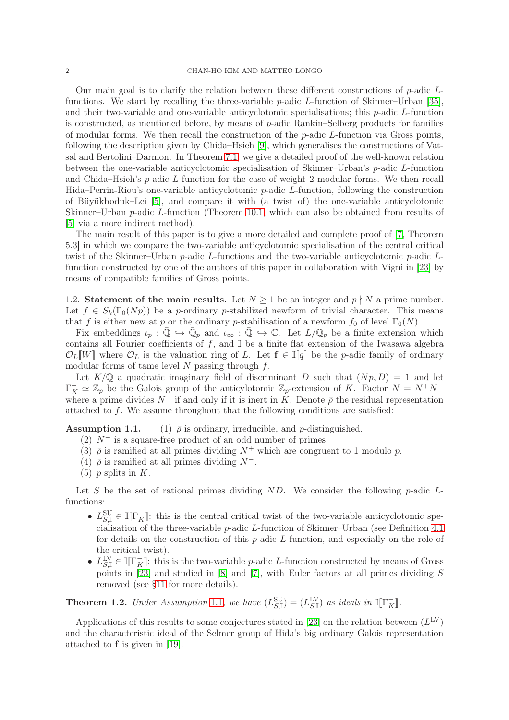Our main goal is to clarify the relation between these different constructions of p-adic Lfunctions. We start by recalling the three-variable  $p$ -adic L-function of Skinner–Urban [\[35\]](#page-17-2), and their two-variable and one-variable anticyclotomic specialisations; this  $p$ -adic  $L$ -function is constructed, as mentioned before, by means of  $p$ -adic Rankin–Selberg products for families of modular forms. We then recall the construction of the  $p$ -adic  $L$ -function via Gross points, following the description given by Chida–Hsieh [\[9\]](#page-17-11), which generalises the constructions of Vatsal and Bertolini–Darmon. In Theorem [7.1,](#page-13-0) we give a detailed proof of the well-known relation between the one-variable anticyclotomic specialisation of Skinner–Urban's  $p$ -adic  $L$ -function and Chida–Hsieh's p-adic L-function for the case of weight 2 modular forms. We then recall Hida–Perrin-Riou's one-variable anticyclotomic p-adic L-function, following the construction of Büyükboduk–Lei [\[5\]](#page-17-5), and compare it with (a twist of) the one-variable anticyclotomic Skinner–Urban p-adic L-function (Theorem [10.1,](#page-15-2) which can also be obtained from results of [\[5\]](#page-17-5) via a more indirect method).

The main result of this paper is to give a more detailed and complete proof of [\[7,](#page-17-9) Theorem 5.3] in which we compare the two-variable anticyclotomic specialisation of the central critical twist of the Skinner–Urban  $p$ -adic L-functions and the two-variable anticyclotomic  $p$ -adic Lfunction constructed by one of the authors of this paper in collaboration with Vigni in [\[23\]](#page-17-7) by means of compatible families of Gross points.

<span id="page-1-0"></span>1.2. Statement of the main results. Let  $N \geq 1$  be an integer and  $p \nmid N$  a prime number. Let  $f \in S_k(\Gamma_0(Np))$  be a p-ordinary p-stabilized newform of trivial character. This means that f is either new at p or the ordinary p-stabilisation of a newform  $f_0$  of level  $\Gamma_0(N)$ .

Fix embeddings  $\iota_p : \overline{\mathbb{Q}} \hookrightarrow \overline{\mathbb{Q}}_p$  and  $\iota_\infty : \overline{\mathbb{Q}} \hookrightarrow \mathbb{C}$ . Let  $L/\mathbb{Q}_p$  be a finite extension which contains all Fourier coefficients of  $f$ , and  $\mathbb{I}$  be a finite flat extension of the Iwasawa algebra  $\mathcal{O}_L[[W]]$  where  $\mathcal{O}_L$  is the valuation ring of L. Let  $f \in [[q]]$  be the p-adic family of ordinary modular forms of tame level  $N$  passing through  $f$ .

Let  $K/\mathbb{Q}$  a quadratic imaginary field of discriminant D such that  $(Np, D) = 1$  and let  $\Gamma_K^- \simeq \mathbb{Z}_p$  be the Galois group of the anticylotomic  $\mathbb{Z}_p$ -extension of K. Factor  $N = N^+N^$ where a prime divides  $N^-$  if and only if it is inert in K. Denote  $\bar{\rho}$  the residual representation attached to f. We assume throughout that the following conditions are satisfied:

**Assumption 1.1.** (1)  $\bar{\rho}$  is ordinary, irreducible, and *p*-distinguished.

- (2)  $N^-$  is a square-free product of an odd number of primes.
- (3)  $\bar{\rho}$  is ramified at all primes dividing  $N^+$  which are congruent to 1 modulo p.
- (4)  $\bar{\rho}$  is ramified at all primes dividing  $N^-$ .
- $(5)$  p splits in K.

Let S be the set of rational primes dividing  $ND$ . We consider the following p-adic Lfunctions:

- $L_{S,\mathbb{I}}^{\text{SU}} \in \mathbb{I}[\Gamma_K^-]$ : this is the central critical twist of the two-variable anticyclotomic specialisation of the three-variable p-adic L-function of Skinner–Urban (see Definition [4.1](#page-9-0) for details on the construction of this p-adic L-function, and especially on the role of the critical twist).
- $L_{S,\mathbb{I}}^{\text{LV}} \in \mathbb{I}[\![\Gamma_K^-]\!]$ : this is the two-variable *p*-adic *L*-function constructed by means of Gross points in [\[23\]](#page-17-7) and studied in [\[8\]](#page-17-8) and [\[7\]](#page-17-9), with Euler factors at all primes dividing S removed (see [§11](#page-16-0) for more details).

**Theorem 1.2.** Under Assumption 1.1, we have  $(L_{S,\mathbb{I}}^{\text{SU}}) = (L_{S,\mathbb{I}}^{\text{LV}})$  as ideals in  $\mathbb{I}[\![\Gamma_K^-]\!]$ .

Applications of this results to some conjectures stated in [\[23\]](#page-17-7) on the relation between  $(L^{\text{LV}})$ and the characteristic ideal of the Selmer group of Hida's big ordinary Galois representation attached to f is given in [\[19\]](#page-17-12).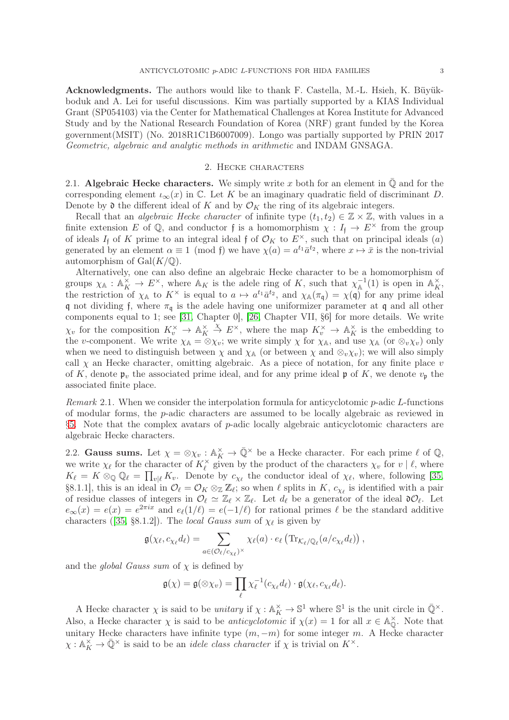Acknowledgments. The authors would like to thank F. Castella, M.-L. Hsieh, K. Büyükboduk and A. Lei for useful discussions. Kim was partially supported by a KIAS Individual Grant (SP054103) via the Center for Mathematical Challenges at Korea Institute for Advanced Study and by the National Research Foundation of Korea (NRF) grant funded by the Korea government(MSIT) (No. 2018R1C1B6007009). Longo was partially supported by PRIN 2017 Geometric, algebraic and analytic methods in arithmetic and INDAM GNSAGA.

#### 2. Hecke characters

<span id="page-2-0"></span>2.1. Algebraic Hecke characters. We simply write x both for an element in  $\overline{Q}$  and for the corresponding element  $\iota_{\infty}(x)$  in C. Let K be an imaginary quadratic field of discriminant D. Denote by  $\mathfrak d$  the different ideal of K and by  $\mathcal O_K$  the ring of its algebraic integers.

Recall that an *algebraic Hecke character* of infinite type  $(t_1, t_2) \in \mathbb{Z} \times \mathbb{Z}$ , with values in a finite extension E of Q, and conductor f is a homomorphism  $\chi : I_f \to E^\times$  from the group of ideals  $I_f$  of K prime to an integral ideal f of  $\mathcal{O}_K$  to  $E^{\times}$ , such that on principal ideals  $(a)$ generated by an element  $\alpha \equiv 1 \pmod{\mathfrak{f}}$  we have  $\chi(a) = a^{t_1} \bar{a}^{t_2}$ , where  $x \mapsto \bar{x}$  is the non-trivial automorphism of  $Gal(K/\mathbb{Q})$ .

Alternatively, one can also define an algebraic Hecke character to be a homomorphism of groups  $\chi_{\mathbb{A}} : \mathbb{A}_K^{\times} \to E^{\times}$ , where  $\mathbb{A}_K$  is the adele ring of K, such that  $\chi_{\mathbb{A}}^{-1}$  $\mathbb{A}^{-1}(1)$  is open in  $\mathbb{A}_K^{\times}$ , the restriction of  $\chi_{\mathbb{A}}$  to  $K^{\times}$  is equal to  $a \mapsto a^{t_1} \bar{a}^{t_2}$ , and  $\chi_{\mathbb{A}}(\pi_{\mathfrak{q}}) = \chi(\mathfrak{q})$  for any prime ideal q not dividing f, where  $\pi_{\mathfrak{q}}$  is the adele having one uniformizer parameter at q and all other components equal to 1; see [\[31,](#page-17-13) Chapter 0], [\[26,](#page-17-14) Chapter VII, §6] for more details. We write  $\chi_v$  for the composition  $K_v^{\times} \to \mathbb{A}_K^{\times}$  $K \nightharpoonup K^{\times}$ , where the map  $K_v^{\times} \to \mathbb{A}_K^{\times}$  is the embedding to the v-component. We write  $\chi_{\mathbb{A}} = \otimes \chi_v$ ; we write simply  $\chi$  for  $\chi_{\mathbb{A}}$ , and use  $\chi_{\mathbb{A}}$  (or  $\otimes_v \chi_v$ ) only when we need to distinguish between  $\chi$  and  $\chi$ <sup> $\chi$ </sup> (or between  $\chi$  and  $\otimes_v \chi_v$ ); we will also simply call  $\chi$  an Hecke character, omitting algebraic. As a piece of notation, for any finite place v of K, denote  $\mathfrak{p}_v$  the associated prime ideal, and for any prime ideal  $\mathfrak{p}$  of K, we denote  $v_{\mathfrak{p}}$  the associated finite place.

Remark 2.1. When we consider the interpolation formula for anticyclotomic p-adic L-functions of modular forms, the p-adic characters are assumed to be locally algebraic as reviewed in  $§5.$  $§5.$  Note that the complex avatars of  $p$ -adic locally algebraic anticyclotomic characters are algebraic Hecke characters.

2.2. Gauss sums. Let  $\chi = \otimes \chi_v : \mathbb{A}_K^\times \to \bar{\mathbb{Q}}^\times$  be a Hecke character. For each prime  $\ell$  of  $\mathbb{Q}$ , we write  $\chi_{\ell}$  for the character of  $K_{\ell}^{\times}$  $\chi_{\ell}$  given by the product of the characters  $\chi_{v}$  for  $v \mid \ell$ , where  $K_{\ell} = K \otimes_{\mathbb{Q}} \mathbb{Q}_{\ell} = \prod_{v|\ell} K_v$ . Denote by  $c_{\chi_{\ell}}$  the conductor ideal of  $\chi_{\ell}$ , where, following [\[35,](#page-17-2) §8.1.1], this is an ideal in  $\mathcal{O}_{\ell} = \mathcal{O}_K \otimes_{\mathbb{Z}} \mathbb{Z}_{\ell}$ ; so when  $\ell$  splits in  $K$ ,  $c_{\chi_{\ell}}$  is identified with a pair of residue classes of integers in  $\mathcal{O}_{\ell} \simeq \mathbb{Z}_{\ell} \times \mathbb{Z}_{\ell}$ . Let  $d_{\ell}$  be a generator of the ideal  $\mathfrak{d} \mathcal{O}_{\ell}$ . Let  $e_{\infty}(x) = e(x) = e^{2\pi ix}$  and  $e_{\ell}(1/\ell) = e(-1/\ell)$  for rational primes  $\ell$  be the standard additive characters ([\[35,](#page-17-2) §8.1.2]). The *local Gauss sum* of  $\chi_{\ell}$  is given by

$$
\mathfrak{g}(\chi_{\ell},c_{\chi_{\ell}}d_{\ell})=\sum_{a\in(\mathcal{O}_{\ell}/c_{\chi_{\ell}})^{\times}}\chi_{\ell}(a)\cdot e_{\ell}\left(\text{Tr}_{\mathcal{K}_{\ell}/\mathbb{Q}_{\ell}}(a/c_{\chi_{\ell}}d_{\ell})\right),
$$

and the *global Gauss sum* of  $\chi$  is defined by

$$
\mathfrak{g}(\chi) = \mathfrak{g}(\otimes \chi_v) = \prod_{\ell} \chi_{\ell}^{-1}(c_{\chi_{\ell}}d_{\ell}) \cdot \mathfrak{g}(\chi_{\ell}, c_{\chi_{\ell}}d_{\ell}).
$$

A Hecke character  $\chi$  is said to be *unitary* if  $\chi : \mathbb{A}_K^{\times} \to \mathbb{S}^1$  where  $\mathbb{S}^1$  is the unit circle in  $\overline{\mathbb{Q}}^{\times}$ . Also, a Hecke character  $\chi$  is said to be *anticyclotomic* if  $\chi(x) = 1$  for all  $x \in \mathbb{A}_{\mathbb{Q}}^{\times}$  $\mathbb{Q}$ . Note that unitary Hecke characters have infinite type  $(m, -m)$  for some integer m. A Hecke character  $\chi : \mathbb{A}_K^\times \to \overline{\mathbb{Q}}^\times$  is said to be an *idele class character* if  $\chi$  is trivial on  $K^\times$ .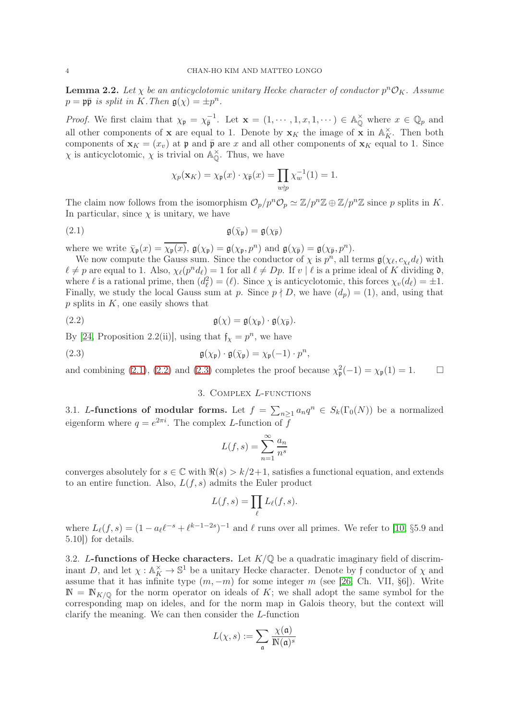<span id="page-3-4"></span>**Lemma 2.2.** Let  $\chi$  be an anticyclotomic unitary Hecke character of conductor  $p^n\mathcal{O}_K$ . Assume  $p = \mathfrak{p} \bar{\mathfrak{p}}$  is split in K. Then  $\mathfrak{g}(\chi) = \pm p^n$ .

*Proof.* We first claim that  $\chi_{\mathfrak{p}} = \chi_{\overline{\mathfrak{p}}}^{-1}$ . Let  $\mathbf{x} = (1, \dots, 1, x, 1, \dots) \in \mathbb{A}_{\mathbb{Q}}^{\times}$  where  $x \in \mathbb{Q}_p$  and all other components of **x** are equal to 1. Denote by  $\mathbf{x}_K$  the image of **x** in  $\mathbb{A}_K^{\times}$ . Then both components of  $\mathbf{x}_K = (x_v)$  at  $\mathfrak{p}$  and  $\bar{\mathfrak{p}}$  are x and all other components of  $\mathbf{x}_K$  equal to 1. Since  $\chi$  is anticyclotomic,  $\chi$  is trivial on  $\mathbb{A}_{\mathbb{O}}^{\times}$  $_{\mathbb{Q}}^{\times}$ . Thus, we have

<span id="page-3-1"></span>
$$
\chi_p(\mathbf{x}_K) = \chi_{\mathfrak{p}}(x) \cdot \chi_{\bar{\mathfrak{p}}}(x) = \prod_{w \nmid p} \chi_w^{-1}(1) = 1.
$$

The claim now follows from the isomorphism  $\mathcal{O}_p/p^n\mathcal{O}_p \simeq \mathbb{Z}/p^n\mathbb{Z} \oplus \mathbb{Z}/p^n\mathbb{Z}$  since p splits in K. In particular, since  $\chi$  is unitary, we have

$$
\mathfrak{g}(\bar{\chi}_{\mathfrak{p}}) = \mathfrak{g}(\chi_{\bar{\mathfrak{p}}})
$$

where we write  $\bar{\chi}_{\mathfrak{p}}(x) = \overline{\chi_{\mathfrak{p}}(x)}$ ,  $\mathfrak{g}(\chi_{\mathfrak{p}}) = \mathfrak{g}(\chi_{\mathfrak{p}}, p^n)$  and  $\mathfrak{g}(\chi_{\mathfrak{p}}) = \mathfrak{g}(\chi_{\mathfrak{p}}, p^n)$ .

We now compute the Gauss sum. Since the conductor of  $\chi$  is  $p^n$ , all terms  $\mathfrak{g}(\chi_{\ell}, c_{\chi_{\ell}}d_{\ell})$  with  $\ell \neq p$  are equal to 1. Also,  $\chi_{\ell}(p^n d_{\ell}) = 1$  for all  $\ell \neq Dp$ . If  $v | \ell$  is a prime ideal of K dividing  $\mathfrak{d}$ , where  $\ell$  is a rational prime, then  $(d_{\ell}^2) = (\ell)$ . Since  $\chi$  is anticyclotomic, this forces  $\chi_v(d_{\ell}) = \pm 1$ . Finally, we study the local Gauss sum at p. Since  $p \nmid D$ , we have  $(d_p) = (1)$ , and, using that  $p$  splits in  $K$ , one easily shows that

(2.2) 
$$
\mathfrak{g}(\chi) = \mathfrak{g}(\chi_{\mathfrak{p}}) \cdot \mathfrak{g}(\chi_{\overline{\mathfrak{p}}}).
$$

By [\[24,](#page-17-15) Proposition 2.2(ii)], using that  $f_{\chi} = p^{n}$ , we have

(2.3) 
$$
\mathfrak{g}(\chi_{\mathfrak{p}}) \cdot \mathfrak{g}(\bar{\chi}_{\mathfrak{p}}) = \chi_{\mathfrak{p}}(-1) \cdot p^n,
$$

<span id="page-3-0"></span>and combining [\(2.1\)](#page-3-1), [\(2.2\)](#page-3-2) and [\(2.3\)](#page-3-3) completes the proof because  $\chi^2_{\mathfrak{p}}(-1) = \chi_{\mathfrak{p}}(1) = 1.$   $\Box$ 

#### <span id="page-3-3"></span><span id="page-3-2"></span>3. Complex L-functions

3.1. L-functions of modular forms. Let  $f = \sum_{n\geq 1} a_n q^n \in S_k(\Gamma_0(N))$  be a normalized eigenform where  $q = e^{2\pi i}$ . The complex *L*-function of f

$$
L(f,s) = \sum_{n=1}^{\infty} \frac{a_n}{n^s}
$$

converges absolutely for  $s \in \mathbb{C}$  with  $\Re(s) > k/2+1$ , satisfies a functional equation, and extends to an entire function. Also,  $L(f, s)$  admits the Euler product

$$
L(f,s) = \prod_{\ell} L_{\ell}(f,s).
$$

where  $L_{\ell}(f, s) = (1 - a_{\ell} \ell^{-s} + \ell^{k-1-2s})^{-1}$  and  $\ell$  runs over all primes. We refer to [\[10,](#page-17-16) §5.9 and 5.10]) for details.

3.2. L-functions of Hecke characters. Let  $K/\mathbb{Q}$  be a quadratic imaginary field of discriminant D, and let  $\chi : \mathbb{A}_{K}^{\times} \to \mathbb{S}^{1}$  be a unitary Hecke character. Denote by f conductor of  $\chi$  and assume that it has infinite type  $(m, -m)$  for some integer m (see [\[26,](#page-17-14) Ch. VII, §6]). Write  $\mathbb{N} = \mathbb{N}_{K/\mathbb{Q}}$  for the norm operator on ideals of K; we shall adopt the same symbol for the corresponding map on ideles, and for the norm map in Galois theory, but the context will clarify the meaning. We can then consider the L-function

$$
L(\chi, s) := \sum_{\mathfrak{a}} \frac{\chi(\mathfrak{a})}{\mathbb{N}(\mathfrak{a})^s}
$$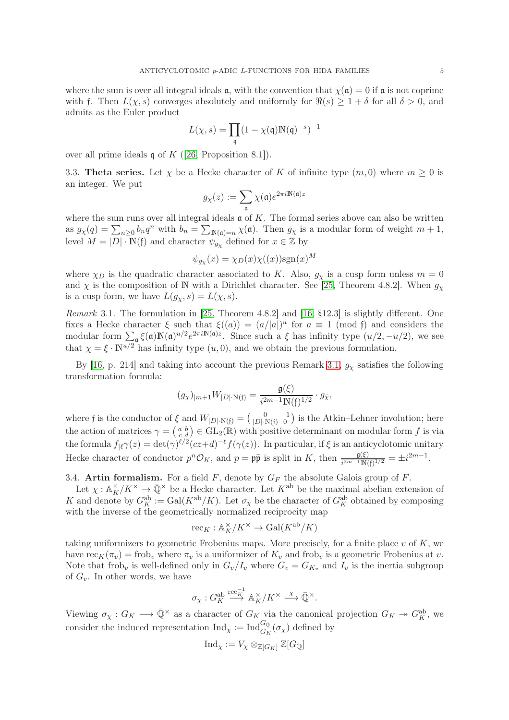where the sum is over all integral ideals  $\alpha$ , with the convention that  $\chi(\alpha) = 0$  if  $\alpha$  is not coprime with f. Then  $L(\chi, s)$  converges absolutely and uniformly for  $\Re(s) \geq 1 + \delta$  for all  $\delta > 0$ , and admits as the Euler product

$$
L(\chi,s)=\prod_{\mathfrak{q}}(1-\chi(\mathfrak{q})\mathbb{N}(\mathfrak{q})^{-s})^{-1}
$$

<span id="page-4-1"></span>over all prime ideals  $\mathfrak q$  of  $K$  ([\[26,](#page-17-14) Proposition 8.1]).

3.3. Theta series. Let  $\chi$  be a Hecke character of K of infinite type  $(m, 0)$  where  $m \geq 0$  is an integer. We put

$$
g_\chi(z) := \sum_{\mathfrak{a}} \chi(\mathfrak{a}) e^{2\pi i \mathbb{N}(\mathfrak{a}) z}
$$

where the sum runs over all integral ideals  $\mathfrak{a}$  of K. The formal series above can also be written as  $g_{\chi}(q) = \sum_{n\geq 0} b_n q^n$  with  $b_n = \sum_{\mathbb{N}(\mathfrak{a})=n} \chi(\mathfrak{a})$ . Then  $g_{\chi}$  is a modular form of weight  $m+1$ , level  $M = |D| \cdot \mathbb{N}(\mathfrak{f})$  and character  $\psi_{g_X}$  defined for  $x \in \mathbb{Z}$  by

$$
\psi_{g_{\chi}}(x) = \chi_D(x)\chi((x))\text{sgn}(x)^M
$$

where  $\chi_D$  is the quadratic character associated to K. Also,  $g_\chi$  is a cusp form unless  $m = 0$ and  $\chi$  is the composition of N with a Dirichlet character. See [\[25,](#page-17-17) Theorem 4.8.2]. When  $g_{\chi}$ is a cusp form, we have  $L(g_X, s) = L(\chi, s)$ .

<span id="page-4-0"></span>Remark 3.1. The formulation in [\[25,](#page-17-17) Theorem 4.8.2] and [\[16,](#page-17-18) §12.3] is slightly different. One fixes a Hecke character  $\xi$  such that  $\xi((a)) = (a/|a|)^u$  for  $a \equiv 1 \pmod{\mathfrak{f}}$  and considers the modular form  $\sum_{\alpha} \xi(\mathfrak{a}) \mathbb{N}(\mathfrak{a})^{u/2} e^{2\pi i \mathbb{N}(\mathfrak{a})z}$ . Since such a  $\xi$  has infinity type  $(u/2, -u/2)$ , we see that  $\chi = \xi \cdot \mathbb{N}^{u/2}$  has infinity type  $(u, 0)$ , and we obtain the previous formulation.

By [\[16,](#page-17-18) p. 214] and taking into account the previous Remark [3.1,](#page-4-0)  $g_\chi$  satisfies the following transformation formula:

$$
(g_{\chi})_{|m+1}W_{|D|\cdot N(\mathfrak{f})} = \frac{\mathfrak{g}(\xi)}{i^{2m-1}N(\mathfrak{f})^{1/2}} \cdot g_{\bar{\chi}},
$$

where f is the conductor of  $\xi$  and  $W_{|D| \cdot N(f)} = \begin{pmatrix} 0 & -1 \\ |D| \cdot N(f) & 0 \end{pmatrix}$  is the Atkin–Lehner involution; here the action of matrices  $\gamma = \begin{pmatrix} a & b \\ c & d \end{pmatrix} \in GL_2(\mathbb{R})$  with positive determinant on modular form f is via the formula  $f_{\vert \ell} \gamma(z) = \det(\gamma)^{\ell/2} (cz+d)^{-\ell} f(\gamma(z))$ . In particular, if  $\xi$  is an anticyclotomic unitary Hecke character of conductor  $p^n \mathcal{O}_K$ , and  $p = \mathfrak{p} \bar{\mathfrak{p}}$  is split in K, then  $\frac{\mathfrak{g}(\xi)}{i^{2m-1} \mathbb{N}(\mathfrak{f})^{1/2}} = \pm i^{2m-1}$ .

3.4. Artin formalism. For a field  $F$ , denote by  $G_F$  the absolute Galois group of  $F$ .

Let  $\chi : \mathbb{A}_K^\times / K^\times \to \overline{\mathbb{Q}}^\times$  be a Hecke character. Let  $K^{\text{ab}}$  be the maximal abelian extension of K and denote by  $G_K^{\text{ab}} := \text{Gal}(K^{\text{ab}}/K)$ . Let  $\sigma_\chi$  be the character of  $G_K^{\text{ab}}$  obtained by composing with the inverse of the geometrically normalized reciprocity map

$$
\operatorname{rec}_{K}: \mathbb{A}_{K}^{\times}/K^{\times} \to \operatorname{Gal}(K^{\mathrm{ab}}/K)
$$

taking uniformizers to geometric Frobenius maps. More precisely, for a finite place  $v$  of  $K$ , we have  $\operatorname{rec}_K(\pi_v) = \operatorname{frob}_v$  where  $\pi_v$  is a uniformizer of  $K_v$  and frob<sub>v</sub> is a geometric Frobenius at v. Note that frob<sub>v</sub> is well-defined only in  $G_v/I_v$  where  $G_v = G_{K_v}$  and  $I_v$  is the inertia subgroup of  $G_v$ . In other words, we have

$$
\sigma_{\chi}: G_K^{\mathrm{ab}} \stackrel{\mathrm{rec}_{K}^{-1}}{\longrightarrow} \mathbb{A}_K^\times/K^\times \stackrel{\chi}{\longrightarrow} \bar{\mathbb{Q}}^\times.
$$

Viewing  $\sigma_X : G_K \longrightarrow \overline{\mathbb{Q}}^\times$  as a character of  $G_K$  via the canonical projection  $G_K \twoheadrightarrow G_K^{\text{ab}}$ , we consider the induced representation  $\mathrm{Ind}_{\chi} := \mathrm{Ind}_{G_K}^{G_{\mathbb{Q}}}(\sigma_{\chi})$  defined by

$$
\mathrm{Ind}_{\chi}:=V_{\chi}\otimes_{\mathbb{Z}[G_K]}\mathbb{Z}[G_{\mathbb{Q}}]
$$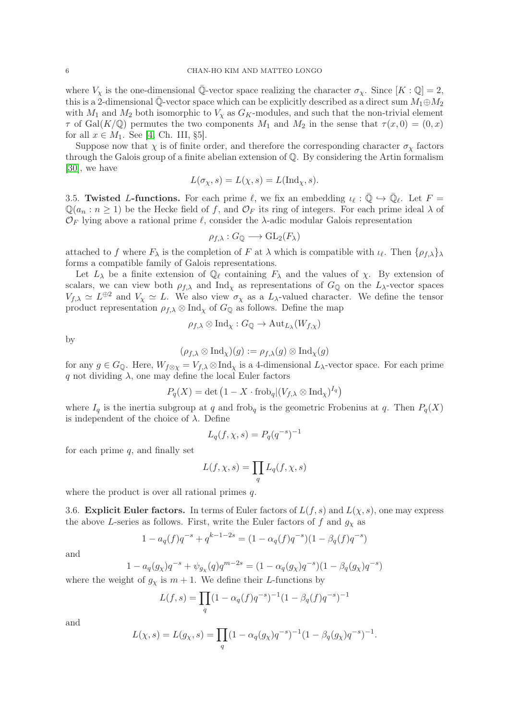where  $V_\chi$  is the one-dimensional  $\overline{\mathbb{Q}}$ -vector space realizing the character  $\sigma_\chi$ . Since  $[K:\mathbb{Q}]=2$ , this is a 2-dimensional  $\overline{\mathbb{Q}}$ -vector space which can be explicitly described as a direct sum  $M_1 \oplus M_2$ with  $M_1$  and  $M_2$  both isomorphic to  $V_\chi$  as  $G_K$ -modules, and such that the non-trivial element  $\tau$  of Gal(K/Q) permutes the two components  $M_1$  and  $M_2$  in the sense that  $\tau(x,0) = (0,x)$ for all  $x \in M_1$ . See [\[4,](#page-16-5) Ch. III, §5].

Suppose now that  $\chi$  is of finite order, and therefore the corresponding character  $\sigma_{\chi}$  factors through the Galois group of a finite abelian extension of  $\mathbb{Q}$ . By considering the Artin formalism [\[30\]](#page-17-19), we have

$$
L(\sigma_{\chi}, s) = L(\chi, s) = L(\text{Ind}_{\chi}, s).
$$

3.5. Twisted L-functions. For each prime  $\ell$ , we fix an embedding  $\iota_{\ell} : \overline{\mathbb{Q}} \hookrightarrow \overline{\mathbb{Q}}_{\ell}$ . Let  $F =$  $\mathbb{Q}(a_n : n \ge 1)$  be the Hecke field of f, and  $\mathcal{O}_F$  its ring of integers. For each prime ideal  $\lambda$  of  $\mathcal{O}_F$  lying above a rational prime  $\ell$ , consider the  $\lambda$ -adic modular Galois representation

$$
\rho_{f,\lambda}: G_{\mathbb{Q}} \longrightarrow \text{GL}_2(F_{\lambda})
$$

attached to f where  $F_{\lambda}$  is the completion of F at  $\lambda$  which is compatible with  $\iota_{\ell}$ . Then  $\{\rho_{f,\lambda}\}_{\lambda}$ forms a compatible family of Galois representations.

Let  $L_{\lambda}$  be a finite extension of  $\mathbb{Q}_{\ell}$  containing  $F_{\lambda}$  and the values of  $\chi$ . By extension of scalars, we can view both  $\rho_{f,\lambda}$  and Ind<sub>x</sub> as representations of  $G_{\mathbb{Q}}$  on the  $L_{\lambda}$ -vector spaces  $V_{f,\lambda} \simeq L^{\oplus 2}$  and  $V_{\chi} \simeq L$ . We also view  $\sigma_{\chi}$  as a  $L_{\lambda}$ -valued character. We define the tensor product representation  $\rho_{f,\lambda} \otimes \text{Ind}_{\chi}$  of  $G_{\mathbb{Q}}$  as follows. Define the map

$$
\rho_{f,\lambda} \otimes \text{Ind}_{\chi}: G_{\mathbb{Q}} \to \text{Aut}_{L_{\lambda}}(W_{f,\chi})
$$

by

$$
(\rho_{f,\lambda}\otimes \mathrm{Ind}_{\chi})(g):=\rho_{f,\lambda}(g)\otimes \mathrm{Ind}_{\chi}(g)
$$

for any  $g \in G_{\mathbb{Q}}$ . Here,  $W_{f \otimes \chi} = V_{f,\lambda} \otimes \text{Ind}_{\chi}$  is a 4-dimensional  $L_{\lambda}$ -vector space. For each prime q not dividing  $\lambda$ , one may define the local Euler factors

$$
P_q(X) = \det (1 - X \cdot \text{frob}_q | (V_{f,\lambda} \otimes \text{Ind}_X)^{I_q})
$$

where  $I_q$  is the inertia subgroup at q and frob<sub>q</sub> is the geometric Frobenius at q. Then  $P_q(X)$ is independent of the choice of  $\lambda$ . Define

$$
L_q(f, \chi, s) = P_q(q^{-s})^{-1}
$$

for each prime  $q$ , and finally set

$$
L(f,\chi,s)=\prod_q L_q(f,\chi,s)
$$

<span id="page-5-0"></span>where the product is over all rational primes q.

3.6. Explicit Euler factors. In terms of Euler factors of  $L(f, s)$  and  $L(\chi, s)$ , one may express the above L-series as follows. First, write the Euler factors of f and  $g<sub>x</sub>$  as

$$
1 - a_q(f)q^{-s} + q^{k-1-2s} = (1 - \alpha_q(f)q^{-s})(1 - \beta_q(f)q^{-s})
$$

and

$$
1 - a_q(g_\chi)q^{-s} + \psi_{g_\chi}(q)q^{m-2s} = (1 - \alpha_q(g_\chi)q^{-s})(1 - \beta_q(g_\chi)q^{-s})
$$
  
ht of  $g$  is  $m + 1$ . We define their *L*-functions by

where the weight of  $g_\chi$  is  $m+1$ . We define their L-functions by

$$
L(f,s) = \prod_{q} (1 - \alpha_q(f)q^{-s})^{-1} (1 - \beta_q(f)q^{-s})^{-1}
$$

and

$$
L(\chi, s) = L(g_{\chi}, s) = \prod_{q} (1 - \alpha_{q}(g_{\chi})q^{-s})^{-1} (1 - \beta_{q}(g_{\chi})q^{-s})^{-1}
$$

.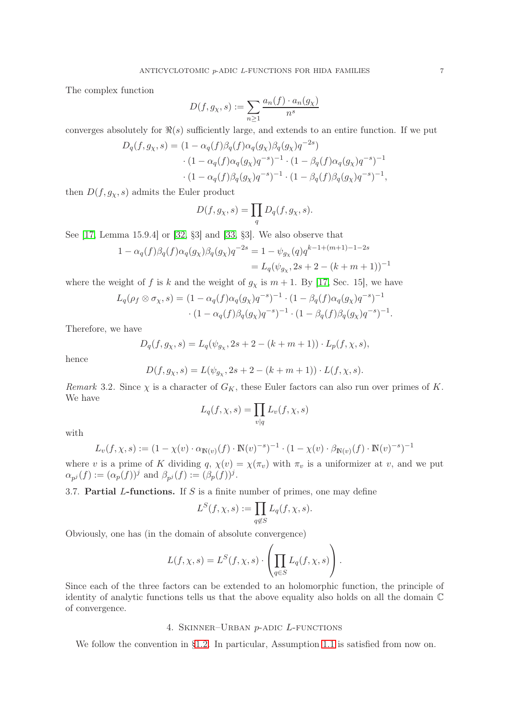The complex function

$$
D(f, g_\chi, s) := \sum_{n \ge 1} \frac{a_n(f) \cdot a_n(g_\chi)}{n^s}
$$

converges absolutely for  $\Re(s)$  sufficiently large, and extends to an entire function. If we put

$$
D_q(f, g_\chi, s) = (1 - \alpha_q(f)\beta_q(f)\alpha_q(g_\chi)\beta_q(g_\chi)q^{-2s})
$$
  
. 
$$
(1 - \alpha_q(f)\alpha_q(g_\chi)q^{-s})^{-1} \cdot (1 - \beta_q(f)\alpha_q(g_\chi)q^{-s})^{-1}
$$
  
. 
$$
(1 - \alpha_q(f)\beta_q(g_\chi)q^{-s})^{-1} \cdot (1 - \beta_q(f)\beta_q(g_\chi)q^{-s})^{-1},
$$

then  $D(f, g_x, s)$  admits the Euler product

$$
D(f, g_X, s) = \prod_q D_q(f, g_X, s).
$$

See [\[17,](#page-17-20) Lemma 15.9.4] or [\[32,](#page-17-21) §3] and [\[33,](#page-17-22) §3]. We also observe that

$$
1 - \alpha_q(f)\beta_q(f)\alpha_q(g_\chi)\beta_q(g_\chi)q^{-2s} = 1 - \psi_{g_\chi}(q)q^{k-1+(m+1)-1-2s}
$$
  
=  $L_q(\psi_{g_\chi}, 2s+2-(k+m+1))^{-1}$ 

where the weight of f is k and the weight of  $g_\chi$  is  $m + 1$ . By [\[17,](#page-17-20) Sec. 15], we have

$$
L_q(\rho_f \otimes \sigma_\chi, s) = (1 - \alpha_q(f)\alpha_q(g_\chi)q^{-s})^{-1} \cdot (1 - \beta_q(f)\alpha_q(g_\chi)q^{-s})^{-1}
$$

$$
\cdot (1 - \alpha_q(f)\beta_q(g_\chi)q^{-s})^{-1} \cdot (1 - \beta_q(f)\beta_q(g_\chi)q^{-s})^{-1}.
$$

Therefore, we have

$$
D_q(f,g_\chi,s)=L_q(\psi_{g_\chi},2s+2-(k+m+1))\cdot L_p(f,\chi,s),
$$

hence

$$
D(f, g_{\chi}, s) = L(\psi_{g_{\chi}}, 2s + 2 - (k + m + 1)) \cdot L(f, \chi, s).
$$

Remark 3.2. Since  $\chi$  is a character of  $G_K$ , these Euler factors can also run over primes of K. We have

$$
L_q(f, \chi, s) = \prod_{v|q} L_v(f, \chi, s)
$$

with

$$
L_v(f, \chi, s) := (1 - \chi(v) \cdot \alpha_{\mathbb{N}(v)}(f) \cdot \mathbb{N}(v)^{-s})^{-1} \cdot (1 - \chi(v) \cdot \beta_{\mathbb{N}(v)}(f) \cdot \mathbb{N}(v)^{-s})^{-1}
$$

where v is a prime of K dividing q,  $\chi(v) = \chi(\pi_v)$  with  $\pi_v$  is a uniformizer at v, and we put  $\alpha_{p^j}(f) := (\alpha_p(f))^j$  and  $\beta_{p^j}(f) := (\beta_p(f))^j$ .

3.7. **Partial L-functions.** If S is a finite number of primes, one may define

$$
L^S(f,\chi,s):=\prod_{q\not\in S}L_q(f,\chi,s).
$$

Obviously, one has (in the domain of absolute convergence)

$$
L(f, \chi, s) = L^{S}(f, \chi, s) \cdot \left( \prod_{q \in S} L_{q}(f, \chi, s) \right).
$$

Since each of the three factors can be extended to an holomorphic function, the principle of identity of analytic functions tells us that the above equality also holds on all the domain C of convergence.

#### 4. Skinner–Urban p-adic L-functions

<span id="page-6-0"></span>We follow the convention in [§1.2.](#page-1-0) In particular, Assumption 1.1 is satisfied from now on.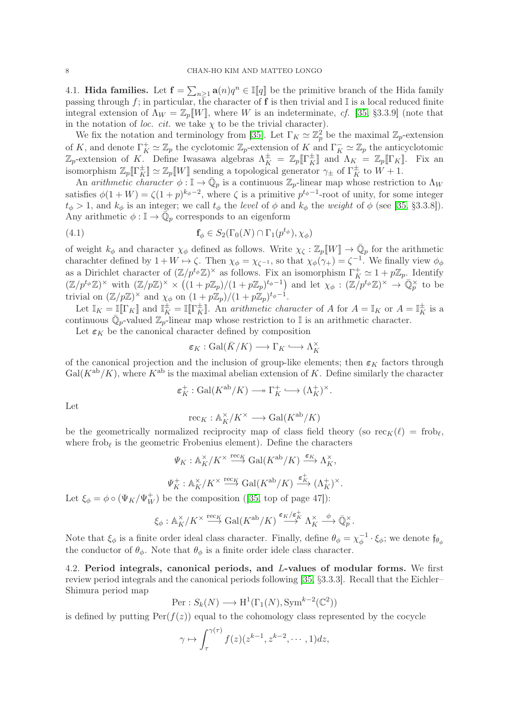4.1. **Hida families.** Let  $\mathbf{f} = \sum_{n \geq 1} \mathbf{a}(n) q^n \in \mathbb{I}[q]$  be the primitive branch of the Hida family passing through f; in particular, the character of f is then trivial and  $\mathbb{I}$  is a local reduced finite integral extension of  $\Lambda_W = \mathbb{Z}_p[W]$ , where W is an indeterminate, cf. [\[35,](#page-17-2) §3.3.9] (note that in the notation of *loc. cit.* we take  $\chi$  to be the trivial character).

We fix the notation and terminology from [\[35\]](#page-17-2). Let  $\Gamma_K \simeq \mathbb{Z}_p^2$  be the maximal  $\mathbb{Z}_p$ -extension of K, and denote  $\Gamma_K^+ \simeq \mathbb{Z}_p$  the cyclotomic  $\mathbb{Z}_p$ -extension of K and  $\Gamma_K^- \simeq \mathbb{Z}_p$  the anticyclotomic  $\mathbb{Z}_p$ -extension of K. Define Iwasawa algebras  $\Lambda_K^{\pm} = \mathbb{Z}_p[\![\Gamma_K^{\pm}]\!]$  and  $\Lambda_K = \mathbb{Z}_p[\![\Gamma_K]\!]$ . Fix an isomorphism  $\mathbb{Z}_p[\![\Gamma_K^{\pm}]\!] \simeq \mathbb{Z}_p[\![W]\!]$  sending a topological generator  $\gamma_{\pm}$  of  $\Gamma_K^{\pm}$  to  $W+1$ .

An arithmetic character  $\phi : \mathbb{I} \to \bar{\mathbb{Q}}_p$  is a continuous  $\mathbb{Z}_p$ -linear map whose restriction to  $\Lambda_W$ satisfies  $\phi(1+W) = \zeta(1+p)^{k_{\phi}-2}$ , where  $\zeta$  is a primitive  $p^{t_{\phi}-1}$ -root of unity, for some integer  $t_{\phi} > 1$ , and  $k_{\phi}$  is an integer; we call  $t_{\phi}$  the level of  $\phi$  and  $k_{\phi}$  the weight of  $\phi$  (see [\[35,](#page-17-2) §3.3.8]). Any arithmetic  $\phi: \mathbb{I} \to \overline{\mathbb{Q}}_p$  corresponds to an eigenform

(4.1) 
$$
\mathbf{f}_{\phi} \in S_2(\Gamma_0(N) \cap \Gamma_1(p^{t_{\phi}}), \chi_{\phi})
$$

of weight  $k_{\phi}$  and character  $\chi_{\phi}$  defined as follows. Write  $\chi_{\zeta} : \mathbb{Z}_p[[W]] \to \overline{\mathbb{Q}}_p$  for the arithmetic charachter defined by  $1 + W \mapsto \zeta$ . Then  $\chi_{\phi} = \chi_{\zeta^{-1}}$ , so that  $\chi_{\phi}(\gamma_+) = \zeta^{-1}$ . We finally view  $\phi_{\phi}$ as a Dirichlet character of  $(\mathbb{Z}/p^{t_{\phi}}\mathbb{Z})^{\times}$  as follows. Fix an isomorphism  $\Gamma_K^+ \simeq 1 + p\mathbb{Z}_p$ . Identify  $(\mathbb{Z}/p^{t_{\phi}}\mathbb{Z})^{\times}$  with  $(\mathbb{Z}/p\mathbb{Z})^{\times} \times ((1+p\mathbb{Z}_{p})/(1+p\mathbb{Z}_{p})^{t_{\phi}-1})$  and let  $\chi_{\phi}: (\mathbb{Z}/p^{t_{\phi}}\mathbb{Z})^{\times} \to \mathbb{Q}_{p}^{\times}$  to be trivial on  $(\mathbb{Z}/p\mathbb{Z})^{\times}$  and  $\chi_{\phi}$  on  $(1+p\mathbb{Z}_p)/(1+p\mathbb{Z}_p)^{t_{\phi}-1}$ .

Let  $\mathbb{I}_K = \mathbb{I}[\![\Gamma_K]\!]$  and  $\mathbb{I}_K^{\pm} = \mathbb{I}[\![\Gamma_K^{\pm}]\!]$ . An arithmetic character of A for  $A = \mathbb{I}_K$  or  $A = \mathbb{I}_K^{\pm}$  is a continuous  $\overline{\mathbb{Q}}_p$ -valued  $\mathbb{Z}_p$ -linear map whose restriction to I is an arithmetic character.

Let  $\varepsilon_K$  be the canonical character defined by composition

<span id="page-7-1"></span>
$$
\varepsilon_K : \text{Gal}(\bar{K}/K) \longrightarrow \Gamma_K \longrightarrow \Lambda_K^{\times}
$$

of the canonical projection and the inclusion of group-like elements; then  $\varepsilon_K$  factors through  $Gal(K^{ab}/K)$ , where  $K^{ab}$  is the maximal abelian extension of K. Define similarly the character

$$
\varepsilon_K^+ : \operatorname{Gal}(K^{\mathrm{ab}}/K) \longrightarrow \Gamma_K^+ \hookrightarrow (\Lambda_K^+)^{\times}.
$$

Let

$$
\operatorname{rec}_{K}: \mathbb{A}_{K}^{\times}/K^{\times} \longrightarrow \operatorname{Gal}(K^{\mathrm{ab}}/K)
$$

be the geometrically normalized reciprocity map of class field theory (so  $\operatorname{rec}_K(\ell) = \operatorname{frob}_\ell$ , where  $\text{frob}_{\ell}$  is the geometric Frobenius element). Define the characters

$$
\begin{aligned} \Psi_K&:\mathbb{A}_K^\times/K^\times \overset{\mathrm{rec}_K}{\longrightarrow} \mathrm{Gal}(K^\mathrm{ab}/K)\overset{\varepsilon_K}{\longrightarrow}\Lambda_K^\times,\\ \Psi_K^+&:\mathbb{A}_K^\times/K^\times \overset{\mathrm{rec}_K}{\longrightarrow} \mathrm{Gal}(K^\mathrm{ab}/K)\overset{\varepsilon_K^+}{\longrightarrow}(\Lambda_K^+)^{\times}. \end{aligned}
$$

Let  $\xi_{\phi} = \phi \circ (\Psi_K/\Psi_W^+)$  be the composition ([\[35,](#page-17-2) top of page 47]):

$$
\xi_{\phi}: \mathbb{A}_K^{\times}/K^{\times} \stackrel{\mathrm{rec}_K}{\longrightarrow} \mathrm{Gal}(K^{\mathrm{ab}}/K) \stackrel{\varepsilon_K/\varepsilon_K^+}{\longrightarrow} \Lambda_K^{\times} \stackrel{\phi}{\longrightarrow} \bar{\mathbb{Q}}_p^{\times}.
$$

Note that  $\xi_{\phi}$  is a finite order ideal class character. Finally, define  $\theta_{\phi} = \chi_{\phi}^{-1}$  $\phi^{-1} \cdot \xi_{\phi}$ ; we denote  $\mathfrak{f}_{\theta_{\phi}}$ the conductor of  $\theta_{\phi}$ . Note that  $\theta_{\phi}$  is a finite order idele class character.

<span id="page-7-0"></span>4.2. Period integrals, canonical periods, and L-values of modular forms. We first review period integrals and the canonical periods following [\[35,](#page-17-2) §3.3.3]. Recall that the Eichler– Shimura period map

Per: 
$$
S_k(N) \longrightarrow H^1(\Gamma_1(N), Sym^{k-2}(\mathbb{C}^2))
$$

is defined by putting  $\text{Per}(f(z))$  equal to the cohomology class represented by the cocycle

$$
\gamma \mapsto \int_{\tau}^{\gamma(\tau)} f(z)(z^{k-1}, z^{k-2}, \cdots, 1) dz,
$$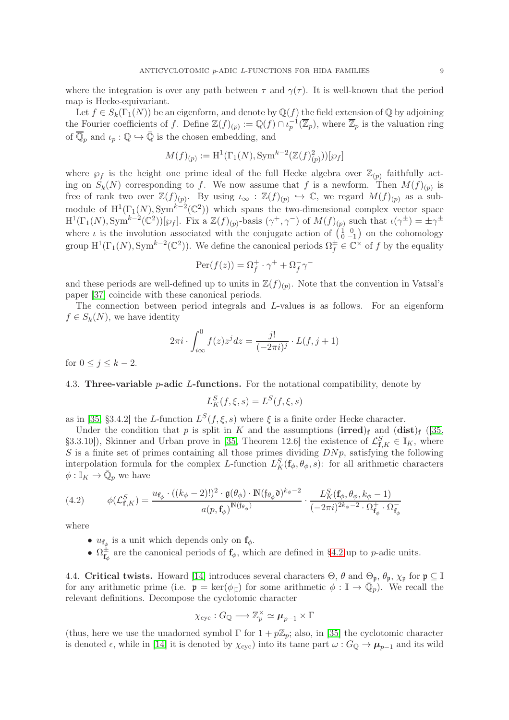where the integration is over any path between  $\tau$  and  $\gamma(\tau)$ . It is well-known that the period map is Hecke-equivariant.

Let  $f \in S_k(\Gamma_1(N))$  be an eigenform, and denote by  $\mathbb{Q}(f)$  the field extension of  $\mathbb{Q}$  by adjoining the Fourier coefficients of f. Define  $\mathbb{Z}(f)_{(p)} := \mathbb{Q}(f) \cap \iota_p^{-1}(\overline{\mathbb{Z}}_p)$ , where  $\overline{\mathbb{Z}}_p$  is the valuation ring of  $\overline{\mathbb{Q}}_p$  and  $\iota_p : \mathbb{Q} \hookrightarrow \overline{\mathbb{Q}}$  is the chosen embedding, and

$$
M(f)_{(p)} := \mathrm{H}^{1}(\Gamma_{1}(N), \mathrm{Sym}^{k-2}(\mathbb{Z}(f)_{(p)}^{2}))[\wp_{f}]
$$

where  $\wp_f$  is the height one prime ideal of the full Hecke algebra over  $\mathbb{Z}_{(p)}$  faithfully acting on  $S_k(N)$  corresponding to f. We now assume that f is a newform. Then  $M(f)_{(p)}$  is free of rank two over  $\mathbb{Z}(f)_{(p)}$ . By using  $\iota_{\infty} : \mathbb{Z}(f)_{(p)} \hookrightarrow \mathbb{C}$ , we regard  $M(f)_{(p)}$  as a submodule of  $\mathrm{H}^1(\Gamma_1(N), \mathrm{Sym}^{k-2}(\mathbb{C}^2))$  which spans the two-dimensional complex vector space  $H^1(\Gamma_1(N), \text{Sym}^{k-2}(\mathbb{C}^2))[\wp_f]$ . Fix a  $\mathbb{Z}(f)_{(p)}$ -basis  $(\gamma^+, \gamma^-)$  of  $M(f)_{(p)}$  such that  $\iota(\gamma^{\pm}) = \pm \gamma^{\pm}$ where  $\iota$  is the involution associated with the conjugate action of  $\begin{pmatrix} 1 & 0 \\ 0 & -1 \end{pmatrix}$  on the cohomology group  $H^1(\Gamma_1(N), Sym^{k-2}(\mathbb{C}^2))$ . We define the canonical periods  $\Omega_f^{\pm} \in \mathbb{C}^{\times}$  of f by the equality

$$
\operatorname{Per}(f(z)) = \Omega_f^+ \cdot \gamma^+ + \Omega_f^- \gamma^-
$$

and these periods are well-defined up to units in  $\mathbb{Z}(f)_{(p)}$ . Note that the convention in Vatsal's paper [\[37\]](#page-18-1) coincide with these canonical periods.

The connection between period integrals and L-values is as follows. For an eigenform  $f \in S_k(N)$ , we have identity

$$
2\pi i \cdot \int_{i\infty}^{0} f(z)z^{j} dz = \frac{j!}{(-2\pi i)^{j}} \cdot L(f, j+1)
$$

for  $0 \leq j \leq k-2$ .

#### 4.3. Three-variable *p*-adic *L*-functions. For the notational compatibility, denote by

$$
L_K^S(f,\xi,s) = L^S(f,\xi,s)
$$

as in [\[35,](#page-17-2) §3.4.2] the L-function  $L^S(f, \xi, s)$  where  $\xi$  is a finite order Hecke character.

Under the condition that p is split in K and the assumptions (irred)<sub>f</sub> and  $(dist)$ <sub>f</sub> ([\[35,](#page-17-2) §3.3.10]), Skinner and Urban prove in [\[35,](#page-17-2) Theorem 12.6] the existence of  $\mathcal{L}^S_{\mathbf{f},K} \in \mathbb{I}_K$ , where S is a finite set of primes containing all those primes dividing  $D N p$ , satisfying the following interpolation formula for the complex L-function  $L_K^S(\mathbf{f}_{\phi}, \theta_{\phi}, s)$ : for all arithmetic characters  $\phi: \mathbb{I}_K \to \overline{\mathbb{Q}}_p$  we have

(4.2) 
$$
\phi(\mathcal{L}_{\mathbf{f},K}^{S}) = \frac{u_{\mathbf{f}_{\phi}} \cdot ((k_{\phi} - 2)!)^{2} \cdot \mathfrak{g}(\theta_{\phi}) \cdot \mathbb{N}(\mathfrak{f}_{\theta_{\phi}}\mathfrak{d})^{k_{\phi} - 2}}{a(p,\mathbf{f}_{\phi})^{\mathbb{N}(\mathfrak{f}_{\theta_{\phi}})}} \cdot \frac{L_{K}^{S}(\mathbf{f}_{\phi}, \theta_{\phi}, k_{\phi} - 1)}{(-2\pi i)^{2k_{\phi} - 2} \cdot \Omega_{\mathbf{f}_{\phi}}^{+} \cdot \Omega_{\mathbf{f}_{\phi}}^{-}}
$$

where

- $u_{\mathbf{f}_{\phi}}$  is a unit which depends only on  $\mathbf{f}_{\phi}$ .
- $\Omega_{\mathbf{f}_{\phi}}^{\pm}$  are the canonical periods of  $\mathbf{f}_{\phi}$ , which are defined in [§4.2](#page-7-0) up to p-adic units.

4.4. Critical twists. Howard [\[14\]](#page-17-23) introduces several characters  $\Theta$ ,  $\theta$  and  $\Theta_{\mathfrak{p}}$ ,  $\theta_{\mathfrak{p}}$ ,  $\chi_{\mathfrak{p}}$  for  $\mathfrak{p} \subseteq \mathbb{I}$ for any arithmetic prime (i.e.  $\mathfrak{p} = \ker(\phi_{\vert \mathbb{I}})$  for some arithmetic  $\phi : \mathbb{I} \to \overline{\mathbb{Q}}_p$ ). We recall the relevant definitions. Decompose the cyclotomic character

$$
\chi_{\operatorname{cyc}}: G_{\mathbb{Q}} \longrightarrow \mathbb{Z}_p^{\times} \simeq \boldsymbol{\mu}_{p-1} \times \Gamma
$$

(thus, here we use the unadorned symbol  $\Gamma$  for  $1 + p\mathbb{Z}_p$ ; also, in [\[35\]](#page-17-2) the cyclotomic character is denoted  $\epsilon$ , while in [\[14\]](#page-17-23) it is denoted by  $\chi_{\text{cyc}}$ ) into its tame part  $\omega$  :  $G_{\mathbb{Q}} \to \mu_{p-1}$  and its wild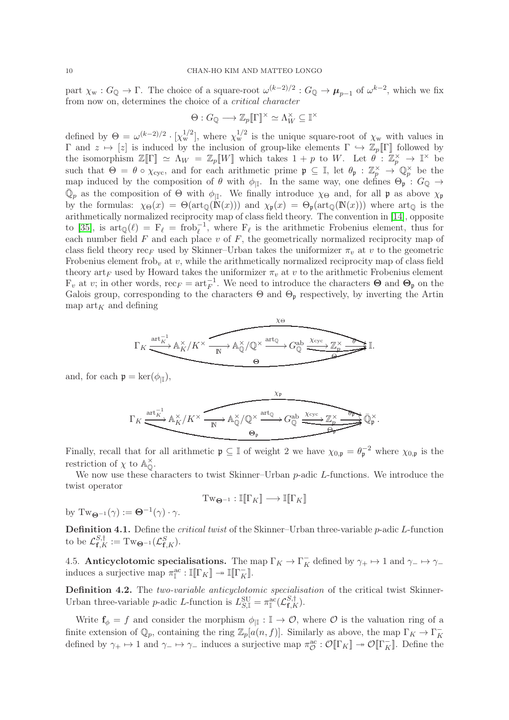part  $\chi_w : G_{\mathbb{Q}} \to \Gamma$ . The choice of a square-root  $\omega^{(k-2)/2} : G_{\mathbb{Q}} \to \mu_{p-1}$  of  $\omega^{k-2}$ , which we fix from now on, determines the choice of a critical character

$$
\Theta: G_{\mathbb{Q}} \longrightarrow \mathbb{Z}_p[\![\Gamma]\!]^\times \simeq \Lambda_W^\times \subseteq \mathbb{I}^\times
$$

defined by  $\Theta = \omega^{(k-2)/2} \cdot [\chi_{\rm w}^{1/2}]$ , where  $\chi_{\rm w}^{1/2}$  is the unique square-root of  $\chi_{\rm w}$  with values in  $Γ$  and  $z$   $\mapsto$  [z] is induced by the inclusion of group-like elements  $Γ$   $\hookrightarrow$   $\mathbb{Z}_p[[Γ]]$  followed by the isomorphism  $\mathbb{Z}[\Gamma] \simeq \Lambda_W = \mathbb{Z}_p[W]$  which takes  $1 + p$  to W. Let  $\theta : \mathbb{Z}_p^{\times} \to \mathbb{I}^{\times}$  be such that  $\Theta = \theta \circ \chi_{\text{cyc}}$ , and for each arithmetic prime  $\mathfrak{p} \subseteq \mathbb{I}$ , let  $\theta_{\mathfrak{p}} : \mathbb{Z}_p^{\times} \to \mathbb{Q}_p^{\times}$  be the map induced by the composition of  $\theta$  with  $\phi_{\vert \mathbb{I}}$ . In the same way, one defines  $\Theta_{\mathfrak{p}} : G_{\mathbb{Q}} \to$  $\overline{\mathbb{Q}}_p$  as the composition of  $\Theta$  with  $\phi_{\vert\mathbb{I}}$ . We finally introduce  $\chi_{\Theta}$  and, for all p as above  $\chi_{\mathfrak{p}}$ by the formulas:  $\chi_{\Theta}(x) = \Theta(\arctan(N(x)))$  and  $\chi_{\phi}(x) = \Theta_{\phi}(\arctan(N(x)))$  where  $\arctan(N(x))$ arithmetically normalized reciprocity map of class field theory. The convention in [\[14\]](#page-17-23), opposite to [\[35\]](#page-17-2), is  $\arctan(\ell) = F_{\ell} = \text{frob}_{\ell}^{-1}$ , where  $F_{\ell}$  is the arithmetic Frobenius element, thus for each number field  $F$  and each place  $v$  of  $F$ , the geometrically normalized reciprocity map of class field theory  $\operatorname{rec}_F$  used by Skinner–Urban takes the uniformizer  $\pi_v$  at v to the geometric Frobenius element frob<sub>v</sub> at v, while the arithmetically normalized reciprocity map of class field theory art<sub>F</sub> used by Howard takes the uniformizer  $\pi_v$  at v to the arithmetic Frobenius element  $F_v$  at v; in other words,  $\text{rec}_F = \text{art}_F^{-1}$ . We need to introduce the characters  $\Theta$  and  $\Theta_{\mathfrak{p}}$  on the Galois group, corresponding to the characters  $\Theta$  and  $\Theta_{p}$  respectively, by inverting the Artin map  $\text{art}_K$  and defining

$$
\Gamma_K \xrightarrow{\text{art}_K^{-1}} \mathbb{A}_K^\times / K^\times \xrightarrow{\text{at}_\mathbb{Q}} \mathbb{A}_\mathbb{Q}^\times / \mathbb{Q}^\times \xrightarrow{\text{art}_\mathbb{Q}} G_\mathbb{Q}^{\text{ab}} \xrightarrow{\text{Xcyc}} \mathbb{Z}_p^\times \xrightarrow{\text{at}_\mathbb{Q}} \mathbb{I}.
$$

and, for each  $\mathfrak{p} = \ker(\phi_{|\mathbb{I}})$ ,

$$
\Gamma_K \xrightarrow{\operatorname{art}_K^{-1}} \mathbb{A}_K^\times / K^\times \xrightarrow{\chi_\mathfrak{p}} \mathbb{A}_\mathbb{Q}^\times / \mathbb{Q}^\times \xrightarrow{\operatorname{art}_\mathbb{Q}} G_\mathbb{Q}^{\operatorname{ab}} \xrightarrow{\chi_{\operatorname{cyc}}} \mathbb{Z}_p^\times} \overline{\mathbb{Q}_\mathfrak{p}^\times}.
$$

Finally, recall that for all arithmetic  $\mathfrak{p} \subseteq \mathbb{I}$  of weight 2 we have  $\chi_{0,\mathfrak{p}} = \theta_{\mathfrak{p}}^{-2}$  where  $\chi_{0,\mathfrak{p}}$  is the restriction of  $\chi$  to  $\mathbb{A}_{\mathbb{O}}^{\times}$  $\overset{\times}{\mathbb{Q}}$  .

We now use these characters to twist Skinner–Urban p-adic L-functions. We introduce the twist operator

$$
\mathrm{Tw}_{\Theta^{-1}}:\mathbb{I}[\![\Gamma_K]\!]\longrightarrow \mathbb{I}[\![\Gamma_K]\!]
$$

by  $Tw_{\mathbf{\Theta}^{-1}}(\gamma) := \mathbf{\Theta}^{-1}(\gamma) \cdot \gamma.$ 

<span id="page-9-0"></span>Definition 4.1. Define the *critical twist* of the Skinner–Urban three-variable p-adic L-function to be  $\mathcal{L}_{\mathbf{f},K}^{S,\dagger} := \mathrm{Tw}_{\mathbf{\Theta}^{-1}}(\mathcal{L}_{\mathbf{f},K}^{S}).$ 

4.5. Anticyclotomic specialisations. The map  $\Gamma_K \to \Gamma_K^-$  defined by  $\gamma_+ \mapsto 1$  and  $\gamma_- \mapsto \gamma_$ induces a surjective map  $\pi_{\mathbb{I}}^{\text{ac}} : \mathbb{I}[\![\Gamma_K]\!] \twoheadrightarrow \mathbb{I}[\![\Gamma_K^{\top}]\!]$ .

Definition 4.2. The two-variable anticyclotomic specialisation of the critical twist Skinner-Urban three-variable *p*-adic *L*-function is  $L_{S,\mathbb{I}}^{\text{SU}} = \pi_{\mathbb{I}}^{\text{ac}}(\mathcal{L}_{\mathbf{f},K}^{S,\dagger})$ .

Write  $f_{\phi} = f$  and consider the morphism  $\phi_{\parallel} : \mathbb{I} \to \mathcal{O}$ , where  $\mathcal O$  is the valuation ring of a finite extension of  $\mathbb{Q}_p$ , containing the ring  $\mathbb{Z}_p[a(n, f)]$ . Similarly as above, the map  $\Gamma_K \to \Gamma_K^$ defined by  $\gamma_+ \mapsto 1$  and  $\gamma_- \mapsto \gamma_-$  induces a surjective map  $\pi_{\mathcal{O}}^{\text{ac}} : \mathcal{O}[\![\Gamma_K]\!] \twoheadrightarrow \mathcal{O}[\![\Gamma_K]\!]$ . Define the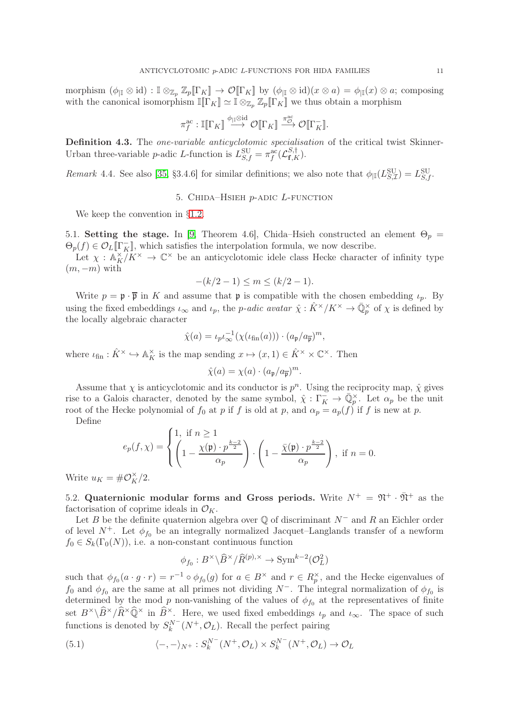morphism (φ|<sup>I</sup> ⊗ id) : I ⊗Z<sup>p</sup> Zp[[ΓK]] → O[[ΓK]] by (φ|<sup>I</sup> ⊗ id)(x ⊗ a) = φ|<sup>I</sup> (x) ⊗ a; composing with the canonical isomorphism  $\mathbb{I}[\![\Gamma_K]\!] \simeq \mathbb{I} \otimes_{\mathbb{Z}_p} \mathbb{Z}_p[\![\Gamma_K]\!]$  we thus obtain a morphism

$$
\pi^{\mathrm{ac}}_f:\mathbb{I}[\![\Gamma_K]\!]\stackrel{\phi_{|\mathbb{I}}\otimes \mathrm{id}}{\longrightarrow} \mathcal{O}[\![\Gamma_K]\!]\stackrel{\pi^{\mathrm{ac}}_{\mathcal{O}}}{\longrightarrow} \mathcal{O}[\![\Gamma_K^-\!]\!].
$$

Definition 4.3. The *one-variable anticyclotomic specialisation* of the critical twist Skinner-Urban three-variable *p*-adic *L*-function is  $L_{S,f}^{\text{SU}} = \pi_f^{\text{ac}}(\mathcal{L}_{\mathbf{f},K}^{S,\dagger})$ .

<span id="page-10-0"></span>Remark 4.4. See also [\[35,](#page-17-2) §3.4.6] for similar definitions; we also note that  $\phi_{\parallel L}(S_{S,\mathcal{I}}^{\text{SU}}) = L_{S,f}^{\text{SU}}$ .

#### 5. CHIDA–HSIEH  $p$ -ADIC  $L$ -FUNCTION

We keep the convention in §[1.2.](#page-1-0)

5.1. Setting the stage. In [\[9,](#page-17-11) Theorem 4.6], Chida–Hsieh constructed an element  $\Theta_p =$  $\Theta_p(f) \in \mathcal{O}_L[\![\Gamma_K]\!]$ , which satisfies the interpolation formula, we now describe.

Let  $\chi : \mathbb{A}_K^{\times}/K^{\times} \to \mathbb{C}^{\times}$  be an anticyclotomic idele class Hecke character of infinity type  $(m, -m)$  with

$$
-(k/2 - 1) \le m \le (k/2 - 1).
$$

Write  $p = \mathfrak{p} \cdot \overline{\mathfrak{p}}$  in K and assume that  $\mathfrak{p}$  is compatible with the chosen embedding  $\iota_p$ . By using the fixed embeddings  $\iota_{\infty}$  and  $\iota_p$ , the *p-adic avatar*  $\hat{\chi} : \hat{K}^{\times}/K^{\times} \to \overline{\mathbb{Q}}_p^{\times}$  of  $\chi$  is defined by the locally algebraic character

$$
\hat{\chi}(a) = \iota_p \iota_{\infty}^{-1}(\chi(\iota_{\text{fin}}(a))) \cdot (a_{\mathfrak{p}}/a_{\overline{\mathfrak{p}}})^m,
$$

where  $\iota_{fin}: \hat{K}^{\times} \hookrightarrow \mathbb{A}_{K}^{\times}$  is the map sending  $x \mapsto (x, 1) \in \hat{K}^{\times} \times \mathbb{C}^{\times}$ . Then

$$
\hat{\chi}(a) = \chi(a) \cdot (a_{\mathfrak{p}}/a_{\overline{\mathfrak{p}}})^m.
$$

Assume that  $\chi$  is anticyclotomic and its conductor is  $p^n$ . Using the reciprocity map,  $\hat{\chi}$  gives rise to a Galois character, denoted by the same symbol,  $\hat{\chi}: \Gamma_K^- \to \overline{\mathbb{Q}}_p^{\times}$ . Let  $\alpha_p$  be the unit root of the Hecke polynomial of  $f_0$  at p if f is old at p, and  $\alpha_p = a_p(f)$  if f is new at p.

Define

$$
e_p(f,\chi) = \begin{cases} 1, & \text{if } n \ge 1 \\ \left(1 - \frac{\chi(\mathfrak{p}) \cdot p^{\frac{k-2}{2}}}{\alpha_p}\right) \cdot \left(1 - \frac{\bar{\chi}(\mathfrak{p}) \cdot p^{\frac{k-2}{2}}}{\alpha_p}\right), & \text{if } n = 0. \end{cases}
$$

Write  $u_K = \# \mathcal{O}_K^{\times}/2$ .

5.2. Quaternionic modular forms and Gross periods. Write  $N^+ = \mathfrak{N}^+ \cdot \bar{\mathfrak{N}}^+$  as the factorisation of coprime ideals in  $\mathcal{O}_K$ .

Let B be the definite quaternion algebra over  $\mathbb O$  of discriminant  $N^-$  and R an Eichler order of level  $N^+$ . Let  $\phi_{f_0}$  be an integrally normalized Jacquet–Langlands transfer of a newform  $f_0 \in S_k(\Gamma_0(N))$ , i.e. a non-constant continuous function

<span id="page-10-1"></span>
$$
\phi_{f_0}: B^{\times} \backslash \widehat{B}^{\times} / \widehat{R}^{(p), \times} \to \text{Sym}^{k-2}(\mathcal{O}_L^2)
$$

such that  $\phi_{f_0}(a \cdot g \cdot r) = r^{-1} \circ \phi_{f_0}(g)$  for  $a \in B^\times$  and  $r \in R_p^\times$ , and the Hecke eigenvalues of  $f_0$  and  $\phi_{f_0}$  are the same at all primes not dividing  $N^-$ . The integral normalization of  $\phi_{f_0}$  is determined by the mod p non-vanishing of the values of  $\phi_{f_0}$  at the representatives of finite set  $B^{\times}\backslash\widehat{B}^{\times}/\widehat{R}^{\times}\widehat{Q}^{\times}$  in  $\widehat{B}^{\times}$ . Here, we used fixed embeddings  $\iota_p$  and  $\iota_{\infty}$ . The space of such functions is denoted by  $S_k^{N^-}(N^+,\mathcal{O}_L)$ . Recall the perfect pairing

(5.1) 
$$
\langle -, - \rangle_{N^+} : S_k^{N^-}(N^+,\mathcal{O}_L) \times S_k^{N^-}(N^+,\mathcal{O}_L) \to \mathcal{O}_L
$$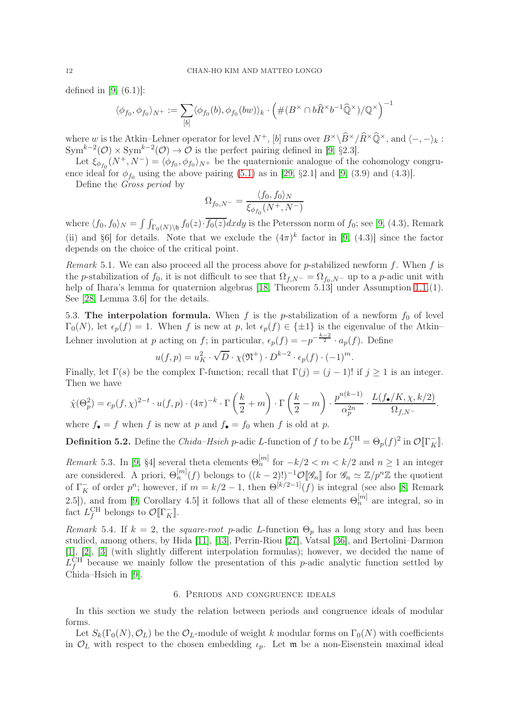defined in  $[9, (6.1)]$ :

$$
\langle \phi_{f_0}, \phi_{f_0} \rangle_{N^+} := \sum_{[b]} \langle \phi_{f_0}(b), \phi_{f_0}(bw) \rangle_k \cdot \left( \#(B^\times \cap b\widehat{R}^\times b^{-1}\widehat{\mathbb{Q}}^\times)/\mathbb{Q}^\times \right)^{-1}
$$

where w is the Atkin–Lehner operator for level  $N^+$ , [b] runs over  $B^{\times}\setminus\widehat{B}^{\times}/\widehat{R}^{\times}\widehat{Q}^{\times}$ , and  $\langle -, - \rangle_k$ :  $\text{Sym}^{k-2}(\mathcal{O}) \times \text{Sym}^{k-2}(\mathcal{O}) \to \mathcal{O}$  is the perfect pairing defined in [\[9,](#page-17-11) §2.3].

Let  $\xi_{\phi_{f_0}}(N^+, N^-) = \langle \phi_{f_0}, \phi_{f_0} \rangle_{N^+}$  be the quaternionic analogue of the cohomology congruence ideal for  $\phi_{f_0}$  using the above pairing [\(5.1\)](#page-10-1) as in [\[29,](#page-17-24) §2.1] and [\[9,](#page-17-11) (3.9) and (4.3)].

Define the Gross period by

$$
\Omega_{f_0, N^-} = \frac{\langle f_0, f_0 \rangle_N}{\xi_{\phi_{f_0}}(N^+, N^-)}
$$

where  $\langle f_0, f_0 \rangle_N = \int \int_{\Gamma_0(N)\backslash \mathfrak{h}} f_0(z) \cdot \overline{f_0(z)} dx dy$  is the Petersson norm of  $f_0$ ; see [\[9,](#page-17-11) (4.3), Remark (ii) and §6] for details. Note that we exclude the  $(4\pi)^k$  factor in [\[9,](#page-17-11) (4.3)] since the factor depends on the choice of the critical point.

<span id="page-11-1"></span>Remark 5.1. We can also proceed all the process above for p-stabilized newform f. When f is the p-stabilization of  $f_0$ , it is not difficult to see that  $\Omega_{f,N^-} = \Omega_{f_0,N^-}$  up to a p-adic unit with help of Ihara's lemma for quaternion algebras [\[18,](#page-17-25) Theorem 5.13] under Assumption 1.1.(1). See [\[28,](#page-17-26) Lemma 3.6] for the details.

5.3. The interpolation formula. When f is the p-stabilization of a newform  $f_0$  of level  $\Gamma_0(N)$ , let  $\epsilon_p(f) = 1$ . When f is new at p, let  $\epsilon_p(f) \in {\pm 1}$  is the eigenvalue of the Atkin– Lehner involution at p acting on f; in particular,  $\epsilon_p(f) = -p^{-\frac{k-2}{2}} \cdot a_p(f)$ . Define

$$
u(f,p) = u_K^2 \cdot \sqrt{D} \cdot \chi(\mathfrak{N}^+) \cdot D^{k-2} \cdot \epsilon_p(f) \cdot (-1)^m.
$$

Finally, let  $\Gamma(s)$  be the complex Γ-function; recall that  $\Gamma(j) = (j-1)!$  if  $j \ge 1$  is an integer. Then we have

$$
\hat{\chi}(\Theta_p^2) = e_p(f, \chi)^{2-t} \cdot u(f, p) \cdot (4\pi)^{-k} \cdot \Gamma\left(\frac{k}{2} + m\right) \cdot \Gamma\left(\frac{k}{2} - m\right) \cdot \frac{p^{n(k-1)}}{\alpha_p^{2n}} \cdot \frac{L(f_{\bullet}/K, \chi, k/2)}{\Omega_{f, N-}}.
$$

where  $f_{\bullet} = f$  when f is new at p and  $f_{\bullet} = f_0$  when f is old at p.

**Definition 5.2.** Define the *Chida–Hsieh p*-adic L-function of f to be  $L_f^{\text{CH}} = \Theta_p(f)^2$  in  $\mathcal{O}[\Gamma_K^-]$ .

Remark 5.3. In [\[9,](#page-17-11) §4] several theta elements  $\Theta_n^{[m]}$  for  $-k/2 < m < k/2$  and  $n \ge 1$  an integer are considered. A priori,  $\Theta_n^{[m]}(f)$  belongs to  $((k-2)!)^{-1}\mathcal{O}[\mathscr{G}_n]$  for  $\mathscr{G}_n \simeq \mathbb{Z}/p^n\mathbb{Z}$  the quotient of  $\Gamma_K^-$  of order  $p^n$ ; however, if  $m = k/2 - 1$ , then  $\Theta^{[k/2-1]}(f)$  is integral (see also [\[8,](#page-17-8) Remark 2.5]), and from [\[9,](#page-17-11) Corollary 4.5] it follows that all of these elements  $\Theta_n^{[m]}$  are integral, so in fact  $L_f^{\text{CH}}$  belongs to  $\mathcal{O}[\![\Gamma_K^-]\!]$ .

Remark 5.4. If  $k = 2$ , the *square-root* p-adic L-function  $\Theta_n$  has a long story and has been studied, among others, by Hida [\[11\]](#page-17-0), [\[13\]](#page-17-10), Perrin-Riou [\[27\]](#page-17-1), Vatsal [\[36\]](#page-18-0), and Bertolini–Darmon [\[1\]](#page-16-2), [\[2\]](#page-16-3), [\[3\]](#page-16-4) (with slightly different interpolation formulas); however, we decided the name of  $L_f^{\text{CH}}$  because we mainly follow the presentation of this p-adic analytic function settled by Chida–Hsieh in [\[9\]](#page-17-11).

#### 6. Periods and congruence ideals

<span id="page-11-0"></span>In this section we study the relation between periods and congruence ideals of modular forms.

Let  $S_k(\Gamma_0(N), \mathcal{O}_L)$  be the  $\mathcal{O}_L$ -module of weight k modular forms on  $\Gamma_0(N)$  with coefficients in  $\mathcal{O}_L$  with respect to the chosen embedding  $\iota_p$ . Let **m** be a non-Eisenstein maximal ideal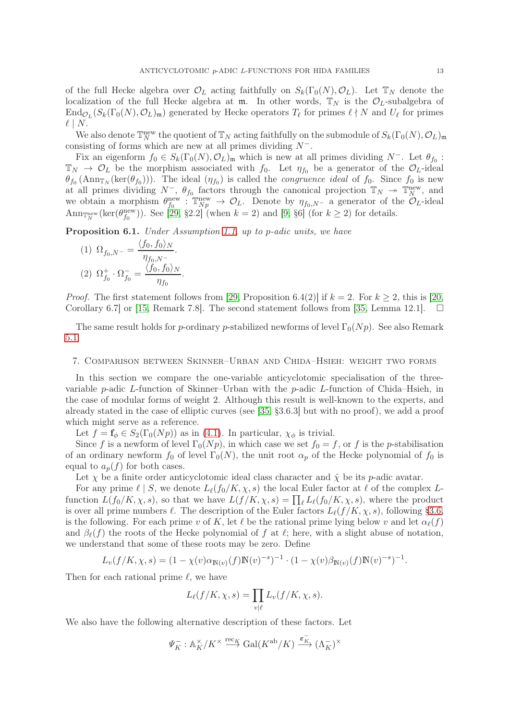of the full Hecke algebra over  $\mathcal{O}_L$  acting faithfully on  $S_k(\Gamma_0(N), \mathcal{O}_L)$ . Let  $\mathbb{T}_N$  denote the localization of the full Hecke algebra at  $m$ . In other words,  $\mathbb{T}_N$  is the  $\mathcal{O}_L$ -subalgebra of  $\text{End}_{\mathcal{O}_L}(S_k(\Gamma_0(N), \mathcal{O}_L)_{\mathfrak{m}})$  generated by Hecke operators  $T_\ell$  for primes  $\ell \nmid N$  and  $U_\ell$  for primes  $\ell \mid N$ .

We also denote  $\mathbb{T}_{N}^{\text{new}}$  the quotient of  $\mathbb{T}_{N}$  acting faithfully on the submodule of  $S_{k}(\Gamma_{0}(N), \mathcal{O}_{L})_{\mathfrak{m}}$ consisting of forms which are new at all primes dividing  $N^-$ .

Fix an eigenform  $f_0 \in S_k(\Gamma_0(N), \mathcal{O}_L)$ <sub>m</sub> which is new at all primes dividing  $N^-$ . Let  $\theta_{f_0}$ :  $\mathbb{T}_N \to \mathcal{O}_L$  be the morphism associated with  $f_0$ . Let  $\eta_{f_0}$  be a generator of the  $\mathcal{O}_L$ -ideal  $\theta_{f_0}(\text{Ann}_{\mathbb{T}_N}(\text{ker}(\theta_{f_0})))$ . The ideal  $(\eta_{f_0})$  is called the *congruence ideal* of  $f_0$ . Since  $f_0$  is new at all primes dividing  $N^-$ ,  $\theta_{f_0}$  factors through the canonical projection  $\mathbb{T}_N \to \mathbb{T}_N^{\text{new}}$ , and we obtain a morphism  $\theta_{f_0}^{\text{new}}$ :  $\mathbb{T}_{N_p}^{\text{new}} \to \mathcal{O}_L$ . Denote by  $\eta_{f_0,N^-}$  a generator of the  $\mathcal{O}_L$ -ideal  $\text{Ann}_{\mathbb{Z}_N^{\text{new}}}(\text{ker}(\theta_{f_0}^{\text{new}}))$ . See [\[29,](#page-17-24) §2.2] (when  $k = 2$ ) and [\[9,](#page-17-11) §6] (for  $k \geq 2$ ) for details.

<span id="page-12-1"></span>Proposition 6.1. Under Assumption 1.1, up to p-adic units, we have

(1) 
$$
\Omega_{f_0, N^-} = \frac{\langle f_0, f_0 \rangle_N}{\eta_{f_0, N^-}}.
$$
  
(2) 
$$
\Omega_{f_0}^+ \cdot \Omega_{f_0}^- = \frac{\langle f_0, f_0 \rangle_N}{\eta_{f_0}}.
$$

*Proof.* The first statement follows from [\[29,](#page-17-24) Proposition 6.4(2)] if  $k = 2$ . For  $k \ge 2$ , this is [\[20,](#page-17-27) Corollary 6.7] or [15, Remark 7.8]. The second statement follows from [35, Lemma 12.1].  $\square$ Corollary 6.7] or [\[15,](#page-17-28) Remark 7.8]. The second statement follows from [\[35,](#page-17-2) Lemma 12.1].

The same result holds for p-ordinary p-stabilized newforms of level  $\Gamma_0(Np)$ . See also Remark [5.1.](#page-11-1)

#### <span id="page-12-0"></span>7. Comparison between Skinner–Urban and Chida–Hsieh: weight two forms

In this section we compare the one-variable anticyclotomic specialisation of the threevariable p-adic L-function of Skinner–Urban with the p-adic L-function of Chida–Hsieh, in the case of modular forms of weight 2. Although this result is well-known to the experts, and already stated in the case of elliptic curves (see [\[35,](#page-17-2) §3.6.3] but with no proof), we add a proof which might serve as a reference.

Let  $f = \mathbf{f}_{\phi} \in S_2(\Gamma_0(Np))$  as in [\(4.1\)](#page-7-1). In particular,  $\chi_{\phi}$  is trivial.

Since f is a newform of level  $\Gamma_0(Np)$ , in which case we set  $f_0 = f$ , or f is the p-stabilisation of an ordinary newform  $f_0$  of level  $\Gamma_0(N)$ , the unit root  $\alpha_p$  of the Hecke polynomial of  $f_0$  is equal to  $a_p(f)$  for both cases.

Let  $\chi$  be a finite order anticyclotomic ideal class character and  $\hat{\chi}$  be its p-adic avatar.

For any prime  $\ell \mid S$ , we denote  $L_{\ell}(f_0/K, \chi, s)$  the local Euler factor at  $\ell$  of the complex Lfunction  $L(f_0/K, \chi, s)$ , so that we have  $L(f/K, \chi, s) = \prod_{\ell} L_{\ell}(f_0/K, \chi, s)$ , where the product is over all prime numbers  $\ell$ . The description of the Euler factors  $L_{\ell}(f/K, \chi, s)$ , following [§3.6,](#page-5-0) is the following. For each prime v of K, let  $\ell$  be the rational prime lying below v and let  $\alpha_{\ell}(f)$ and  $\beta_{\ell}(f)$  the roots of the Hecke polynomial of f at  $\ell$ ; here, with a slight abuse of notation, we understand that some of these roots may be zero. Define

$$
L_v(f/K, \chi, s) = (1 - \chi(v)\alpha_{\mathbb{N}(v)}(f)\mathbb{N}(v)^{-s})^{-1} \cdot (1 - \chi(v)\beta_{\mathbb{N}(v)}(f)\mathbb{N}(v)^{-s})^{-1}.
$$

Then for each rational prime  $\ell$ , we have

$$
L_{\ell}(f/K, \chi, s) = \prod_{v|\ell} L_v(f/K, \chi, s).
$$

We also have the following alternative description of these factors. Let

$$
\varPsi_K^-: \mathbb{A}_K^\times/K^\times \overset{\mathrm{rec}_K}{\longrightarrow} \mathrm{Gal}(K^{\mathrm{ab}}/K) \overset{\varepsilon_K^-}{\longrightarrow} (\Lambda_K^-)^\times
$$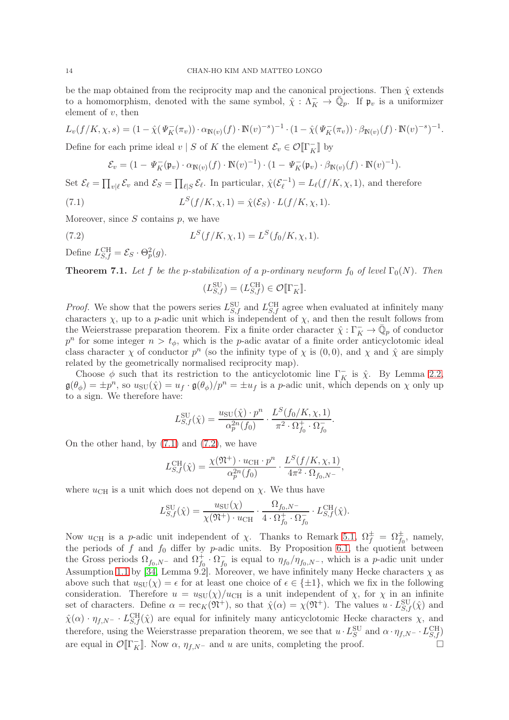be the map obtained from the reciprocity map and the canonical projections. Then  $\hat{\chi}$  extends to a homomorphism, denoted with the same symbol,  $\hat{\chi} : \Lambda_K^- \to \overline{\mathbb{Q}}_p$ . If  $\mathfrak{p}_v$  is a uniformizer element of  $v$ , then

$$
L_v(f/K, \chi, s) = (1 - \hat{\chi}(\Psi_K^-(\pi_v)) \cdot \alpha_{\mathbb{N}(v)}(f) \cdot \mathbb{N}(v)^{-s})^{-1} \cdot (1 - \hat{\chi}(\Psi_K^-(\pi_v)) \cdot \beta_{\mathbb{N}(v)}(f) \cdot \mathbb{N}(v)^{-s})^{-1}.
$$

Define for each prime ideal  $v \mid S$  of K the element  $\mathcal{E}_v \in \mathcal{O}[\![\Gamma_K^-]\!]$  by

<span id="page-13-1"></span>
$$
\mathcal{E}_v = (1 - \Psi_K^-(\mathfrak{p}_v) \cdot \alpha_{\mathbb{N}(v)}(f) \cdot \mathbb{N}(v)^{-1}) \cdot (1 - \Psi_K^-(\mathfrak{p}_v) \cdot \beta_{\mathbb{N}(v)}(f) \cdot \mathbb{N}(v)^{-1}).
$$

Set  $\mathcal{E}_{\ell} = \prod_{v|\ell} \mathcal{E}_v$  and  $\mathcal{E}_S = \prod_{\ell|S} \mathcal{E}_{\ell}$ . In particular,  $\hat{\chi}(\mathcal{E}_{\ell}^{-1})$  $\mathcal{L}_{\ell}^{-1}$ ) =  $L_{\ell}(f/K, \chi, 1)$ , and therefore

(7.1) 
$$
L^{S}(f/K, \chi, 1) = \hat{\chi}(\mathcal{E}_{S}) \cdot L(f/K, \chi, 1).
$$

Moreover, since  $S$  contains  $p$ , we have

(7.2) 
$$
L^{S}(f/K, \chi, 1) = L^{S}(f_{0}/K, \chi, 1).
$$

Define  $L_{S,f}^{\text{CH}} = \mathcal{E}_S \cdot \Theta_p^2(g)$ .

<span id="page-13-0"></span>**Theorem 7.1.** Let f be the p-stabilization of a p-ordinary newform f<sub>0</sub> of level  $\Gamma_0(N)$ . Then

<span id="page-13-2"></span>
$$
(L_{S,f}^{\text{SU}}) = (L_{S,f}^{\text{CH}}) \in \mathcal{O}[\![\Gamma_K^-]\!].
$$

*Proof.* We show that the powers series  $L_{S,f}^{\text{SU}}$  and  $L_{S,f}^{\text{CH}}$  agree when evaluated at infinitely many characters  $\chi$ , up to a p-adic unit which is independent of  $\chi$ , and then the result follows from the Weierstrasse preparation theorem. Fix a finite order character  $\hat{\chi}: \Gamma_K^- \to \overline{\mathbb{Q}}_p$  of conductor  $p^n$  for some integer  $n > t_\phi$ , which is the p-adic avatar of a finite order anticyclotomic ideal class character  $\chi$  of conductor  $p^n$  (so the infinity type of  $\chi$  is  $(0, 0)$ , and  $\chi$  and  $\hat{\chi}$  are simply related by the geometrically normalised reciprocity map).

Choose  $\phi$  such that its restriction to the anticyclotomic line  $\Gamma_K^-$  is  $\hat{\chi}$ . By Lemma [2.2,](#page-3-4)  $\mathfrak{g}(\theta_{\phi}) = \pm p^{n}$ , so  $u_{\text{SU}}(\hat{\chi}) = u_{f} \cdot \mathfrak{g}(\theta_{\phi})/p^{n} = \pm u_{f}$  is a p-adic unit, which depends on  $\chi$  only up to a sign. We therefore have:

$$
L_{S,f}^{SU}(\hat{\chi}) = \frac{u_{SU}(\hat{\chi}) \cdot p^n}{\alpha_p^{2n}(f_0)} \cdot \frac{L^S(f_0/K, \chi, 1)}{\pi^2 \cdot \Omega_{f_0}^+ \cdot \Omega_{f_0}^-}.
$$

On the other hand, by  $(7.1)$  and  $(7.2)$ , we have

$$
L_{S,f}^{\text{CH}}(\hat{\chi}) = \frac{\chi(\mathfrak{N}^+) \cdot u_{\text{CH}} \cdot p^n}{\alpha_p^{2n}(f_0)} \cdot \frac{L^S(f/K, \chi, 1)}{4\pi^2 \cdot \Omega_{f_0, N^-}},
$$

where  $u_{\text{CH}}$  is a unit which does not depend on  $\chi$ . We thus have

$$
L_{S,f}^{\text{SU}}(\hat{\chi}) = \frac{u_{\text{SU}}(\chi)}{\chi(\mathfrak{N}^+) \cdot u_{\text{CH}}} \cdot \frac{\Omega_{f_0, N^-}}{4 \cdot \Omega_{f_0}^+ \cdot \Omega_{f_0}^-} \cdot L_{S,f}^{\text{CH}}(\hat{\chi}).
$$

Now  $u_{\text{CH}}$  is a p-adic unit independent of  $\chi$ . Thanks to Remark [5.1,](#page-11-1)  $\Omega_f^{\pm} = \Omega_{f_0}^{\pm}$ , namely, the periods of f and  $f_0$  differ by p-adic units. By Proposition [6.1,](#page-12-1) the quotient between the Gross periods  $\Omega_{f_0,N^-}$  and  $\Omega_{f_0}^+$  $f_0^+ \cdot \Omega_{f_0}^ \bar{f}_0$  is equal to  $\eta_{f_0}/\eta_{f_0,N^-}$ , which is a *p*-adic unit under Assumption 1.1 by [\[34,](#page-17-29) Lemma 9.2]. Moreover, we have infinitely many Hecke characters  $\chi$  as above such that  $u_{\text{SU}}(\chi) = \epsilon$  for at least one choice of  $\epsilon \in \{\pm 1\}$ , which we fix in the following consideration. Therefore  $u = u_{\text{SU}}(\chi)/u_{\text{CH}}$  is a unit independent of  $\chi$ , for  $\chi$  in an infinite set of characters. Define  $\alpha = \text{rec}_K(\mathfrak{N}^+)$ , so that  $\hat{\chi}(\alpha) = \chi(\mathfrak{N}^+)$ . The values  $u \cdot L_{S,f}^{\text{SU}}(\hat{\chi})$  and  $\hat{\chi}(\alpha) \cdot \eta_{f,N^-} \cdot L_{S,f}^{\text{CH}}(\hat{\chi})$  are equal for infinitely many anticyclotomic Hecke characters  $\chi$ , and therefore, using the Weierstrasse preparation theorem, we see that  $u \cdot L_S^{\text{SU}}$  and  $\alpha \cdot \eta_{f,N^-} \cdot L_{S,f}^{\text{CH}}$ are equal in  $\mathcal{O}[\![\Gamma_K^-]\!]$ . Now  $\alpha$ ,  $\eta_{f,N^-}$  and u are units, completing the proof.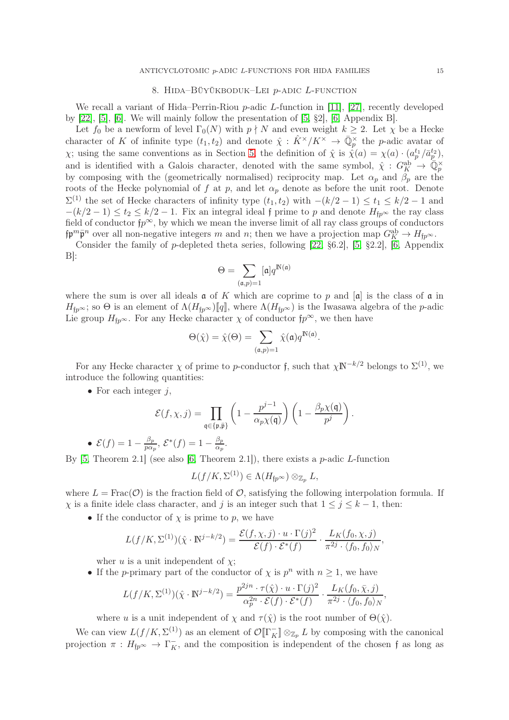#### 8. HIDA–BÜYÜKBODUK–LEI  $p$ -ADIC L-FUNCTION

<span id="page-14-0"></span>We recall a variant of Hida–Perrin-Riou p-adic L-function in [\[11\]](#page-17-0), [\[27\]](#page-17-1), recently developed by [\[22\]](#page-17-3), [\[5\]](#page-17-5), [\[6\]](#page-17-6). We will mainly follow the presentation of [\[5,](#page-17-5) §2], [\[6,](#page-17-6) Appendix B].

Let  $f_0$  be a newform of level  $\Gamma_0(N)$  with  $p \nmid N$  and even weight  $k \geq 2$ . Let  $\chi$  be a Hecke character of K of infinite type  $(t_1, t_2)$  and denote  $\hat{\chi}$  :  $\hat{K}^{\times}/K^{\times} \to \overline{\mathbb{Q}}_p^{\times}$  the p-adic avatar of  $\chi$ ; using the same conventions as in Section [5,](#page-10-0) the definition of  $\hat{\chi}$  is  $\hat{\chi}(a) = \chi(a) \cdot (a_p^{t_1}/\bar{a}_p^{t_2}),$ and is identified with a Galois character, denoted with the same symbol,  $\hat{\chi}: G_K^{\text{ab}} \to \overline{\mathbb{Q}}_p^{\times}$ by composing with the (geometrically normalised) reciprocity map. Let  $\alpha_p$  and  $\beta_p$  are the roots of the Hecke polynomial of f at p, and let  $\alpha_p$  denote as before the unit root. Denote  $\Sigma^{(1)}$  the set of Hecke characters of infinity type  $(t_1, t_2)$  with  $-(k/2 - 1) \le t_1 \le k/2 - 1$  and  $-(k/2-1) \le t_2 \le k/2-1$ . Fix an integral ideal f prime to p and denote  $H_{fp^{\infty}}$  the ray class field of conductor  $fp^{\infty}$ , by which we mean the inverse limit of all ray class groups of conductors  $\sharp \mathfrak{p}^m \bar{\mathfrak{p}}^n$  over all non-negative integers m and n; then we have a projection map  $G_K^{\text{ab}} \to H_{\sharp p^\infty}$ .

Consider the family of p-depleted theta series, following [\[22,](#page-17-3) §6.2], [\[5,](#page-17-5) §2.2], [\[6,](#page-17-6) Appendix  $B$ :

$$
\Theta = \sum_{(\mathfrak{a},p) = 1} [\mathfrak{a}] q^{\mathbb{N}(\mathfrak{a})}
$$

where the sum is over all ideals  $\mathfrak a$  of K which are coprime to p and  $[\mathfrak a]$  is the class of  $\mathfrak a$  in  $H_{fp^{\infty}}$ ; so  $\Theta$  is an element of  $\Lambda(H_{fp^{\infty}})[q]$ , where  $\Lambda(H_{fp^{\infty}})$  is the Iwasawa algebra of the *p*-adic Lie group  $H_{fp} \infty$ . For any Hecke character  $\chi$  of conductor  $fp^{\infty}$ , we then have

$$
\Theta(\hat{\chi}) = \hat{\chi}(\Theta) = \sum_{(\mathfrak{a},p)=1} \hat{\chi}(\mathfrak{a}) q^{\mathbb{N}(\mathfrak{a})}.
$$

For any Hecke character  $\chi$  of prime to p-conductor f, such that  $\chi N^{-k/2}$  belongs to  $\Sigma^{(1)}$ , we introduce the following quantities:

• For each integer  $j$ ,

$$
\mathcal{E}(f,\chi,j) = \prod_{\mathfrak{q} \in \{\mathfrak{p},\bar{\mathfrak{p}}\}} \left(1 - \frac{p^{j-1}}{\alpha_p \chi(\mathfrak{q})}\right) \left(1 - \frac{\beta_p \chi(\mathfrak{q})}{p^j}\right).
$$

• 
$$
\mathcal{E}(f) = 1 - \frac{\beta_p}{p\alpha_p}, \ \mathcal{E}^*(f) = 1 - \frac{\beta_p}{\alpha_p}
$$

. By  $[5,$  Theorem 2.1] (see also  $[6,$  Theorem 2.1]), there exists a p-adic L-function

$$
L(f/K,\Sigma^{(1)})\in\Lambda(H_{{\mathfrak f} p^\infty})\otimes_{{\mathbb Z}_p}L,
$$

where  $L = \text{Frac}(\mathcal{O})$  is the fraction field of  $\mathcal{O}$ , satisfying the following interpolation formula. If  $\chi$  is a finite idele class character, and j is an integer such that  $1 \leq j \leq k-1$ , then:

• If the conductor of  $\chi$  is prime to p, we have

$$
L(f/K, \Sigma^{(1)})(\hat{\chi} \cdot \mathbb{N}^{j-k/2}) = \frac{\mathcal{E}(f, \chi, j) \cdot u \cdot \Gamma(j)^2}{\mathcal{E}(f) \cdot \mathcal{E}^*(f)} \cdot \frac{L_K(f_0, \chi, j)}{\pi^{2j} \cdot \langle f_0, f_0 \rangle_N},
$$

wher u is a unit independent of  $\chi$ ;

• If the *p*-primary part of the conductor of  $\chi$  is  $p^n$  with  $n \geq 1$ , we have

$$
L(f/K, \Sigma^{(1)})(\hat{\chi} \cdot \mathbb{N}^{j-k/2}) = \frac{p^{2jn} \cdot \tau(\hat{\chi}) \cdot u \cdot \Gamma(j)^2}{\alpha_p^{2n} \cdot \mathcal{E}(f) \cdot \mathcal{E}^*(f)} \cdot \frac{L_K(f_0, \bar{\chi}, j)}{\pi^{2j} \cdot \langle f_0, f_0 \rangle_N},
$$

where u is a unit independent of  $\chi$  and  $\tau(\hat{\chi})$  is the root number of  $\Theta(\hat{\chi})$ .

We can view  $L(f/K, \Sigma^{(1)})$  as an element of  $\mathcal{O}[\![\Gamma_K^-]\!] \otimes_{\mathbb{Z}_p} L$  by composing with the canonical projection  $\pi: H_{\mathfrak{f}p^{\infty}} \to \Gamma_K^-$ , and the composition is independent of the chosen f as long as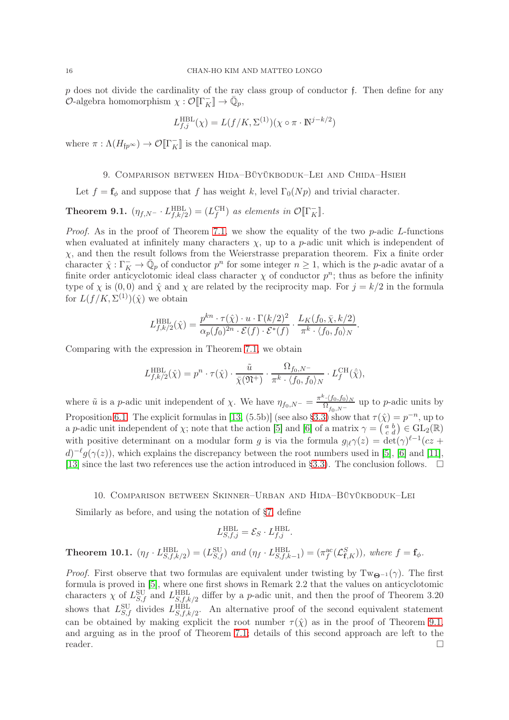$p$  does not divide the cardinality of the ray class group of conductor f. Then define for any  $\mathcal{O}\text{-algebra homomorphism } \chi: \mathcal{O}[\![\Gamma_K^-]\!] \to \bar{\mathbb{Q}}_p,$ 

$$
L_{f,j}^{\text{HBL}}(\chi) = L(f/K, \Sigma^{(1)})(\chi \circ \pi \cdot \mathbb{N}^{j-k/2})
$$

<span id="page-15-0"></span>where  $\pi : \Lambda(H_{\mathfrak{f}p^{\infty}}) \to \mathcal{O}[\![\Gamma_K^-]\!]$  is the canonical map.

#### 9. Comparison between Hida–Büyükboduk–Lei and Chida–Hsieh

Let  $f = \mathbf{f}_{\phi}$  and suppose that f has weight k, level  $\Gamma_0(Np)$  and trivial character.

## <span id="page-15-3"></span>**Theorem 9.1.**  $(\eta_{f,N} - L_{f,k/2}^{\text{HBL}}) = (L_f^{\text{CH}})$  as elements in  $\mathcal{O}[\Gamma_K^-]$ .

*Proof.* As in the proof of Theorem [7.1,](#page-13-0) we show the equality of the two  $p$ -adic  $L$ -functions when evaluated at infinitely many characters  $\chi$ , up to a p-adic unit which is independent of  $\chi$ , and then the result follows from the Weierstrasse preparation theorem. Fix a finite order character  $\hat{\chi}: \Gamma_K^- \to \bar{\mathbb{Q}}_p$  of conductor  $p^n$  for some integer  $n \geq 1$ , which is the p-adic avatar of a finite order anticyclotomic ideal class character  $\chi$  of conductor  $p^n$ ; thus as before the infinity type of  $\chi$  is (0,0) and  $\hat{\chi}$  and  $\chi$  are related by the reciprocity map. For  $j = k/2$  in the formula for  $L(f/K, \Sigma^{(1)})(\hat{\chi})$  we obtain

$$
L_{f,k/2}^{\text{HBL}}(\hat{\chi}) = \frac{p^{kn} \cdot \tau(\hat{\chi}) \cdot u \cdot \Gamma(k/2)^2}{\alpha_p(f_0)^{2n} \cdot \mathcal{E}(f) \cdot \mathcal{E}^*(f)} \cdot \frac{L_K(f_0, \bar{\chi}, k/2)}{\pi^k \cdot \langle f_0, f_0 \rangle_N}.
$$

Comparing with the expression in Theorem [7.1,](#page-13-0) we obtain

$$
L_{f,k/2}^{\text{HBL}}(\hat{\chi}) = p^n \cdot \tau(\hat{\chi}) \cdot \frac{\tilde{u}}{\bar{\chi}(\mathfrak{N}^+)} \cdot \frac{\Omega_{f_0,N^-}}{\pi^k \cdot \langle f_0, f_0 \rangle_N} \cdot L_f^{\text{CH}}(\hat{\bar{\chi}}),
$$

where  $\tilde{u}$  is a p-adic unit independent of  $\chi$ . We have  $\eta_{f_0,N^-} = \frac{\pi^{k} \cdot \langle f_0, f_0 \rangle_N}{\Omega_{f_0,N^-}}$  $\frac{\Gamma(\{0,10\})}{\Omega_{f_0,N^-}}$  up to *p*-adic units by Proposition [6.1.](#page-12-1) The explicit formulas in [\[13,](#page-17-10) (5.5b)] (see also [§3.3\)](#page-4-1) show that  $\tau(\hat{\chi}) = p^{-n}$ , up to a p-adic unit independent of  $\chi$ ; note that the action [\[5\]](#page-17-5) and [\[6\]](#page-17-6) of a matrix  $\gamma = \begin{pmatrix} a & b \\ c & d \end{pmatrix} \in GL_2(\mathbb{R})$ with positive determinant on a modular form g is via the formula  $g_{\vert \ell} \gamma(z) = \det(\gamma)^{\ell-1} (cz +$  $d^{-\ell}g(\gamma(z))$ , which explains the discrepancy between the root numbers used in [\[5\]](#page-17-5), [\[6\]](#page-17-6) and [\[11\]](#page-17-0), [\[13\]](#page-17-10) since the last two references use the action introduced in [§3.3\)](#page-4-1). The conclusion follows.  $\Box$ 

#### 10. Comparison between Skinner–Urban and Hida–Büyükboduk–Lei

<span id="page-15-1"></span>Similarly as before, and using the notation of [§7,](#page-12-0) define

$$
L_{S,f,j}^{\mathrm{HBL}} = \mathcal{E}_S \cdot L_{f,j}^{\mathrm{HBL}}.
$$

# <span id="page-15-2"></span>**Theorem 10.1.**  $(\eta_f \cdot L_{S,f,k/2}^{\text{HBL}}) = (L_{S,f}^{\text{SU}})$  and  $(\eta_f \cdot L_{S,f,k-1}^{\text{HBL}}) = (\pi_f^{\text{ac}}(\mathcal{L}_{f,K}^S)),$  where  $f = f_\phi$ .

*Proof.* First observe that two formulas are equivalent under twisting by Tw<sub> $\Theta^{-1}(\gamma)$ . The first</sub> formula is proved in [\[5\]](#page-17-5), where one first shows in Remark 2.2 that the values on anticyclotomic characters  $\chi$  of  $L_{S,f}^{\text{SU}}$  and  $L_{S,f,k/2}^{\text{HBL}}$  differ by a *p*-adic unit, and then the proof of Theorem 3.20 shows that  $L_{S,f}^{\text{SU}}$  divides  $L_{S,f,k/2}^{\text{HBL}}$ . An alternative proof of the second equivalent statement can be obtained by making explicit the root number  $\tau(\hat{\chi})$  as in the proof of Theorem [9.1,](#page-15-3) and arguing as in the proof of Theorem [7.1;](#page-13-0) details of this second approach are left to the reader.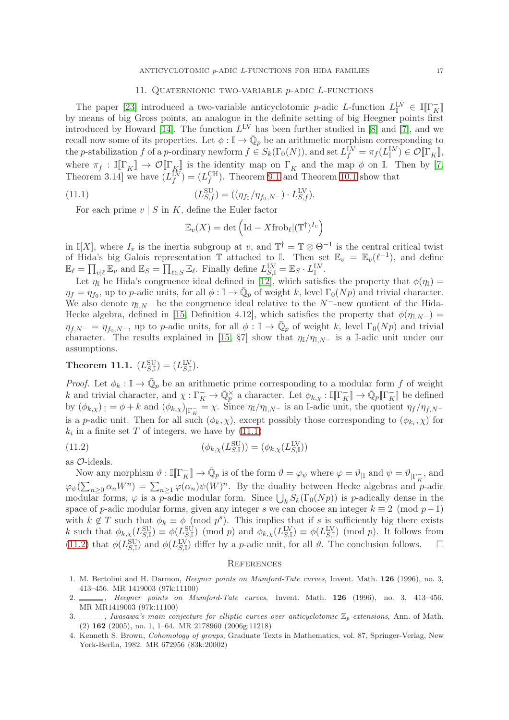#### 11. QUATERNIONIC TWO-VARIABLE  $p$ -ADIC  $L$ -FUNCTIONS

<span id="page-16-0"></span>The paper [\[23\]](#page-17-7) introduced a two-variable anticyclotomic p-adic L-function  $L_{\mathbb{I}}^{\text{LV}} \in \mathbb{I}[\Gamma_K^-]$ by means of big Gross points, an analogue in the definite setting of big Heegner points first introduced by Howard [\[14\]](#page-17-23). The function  $L^{\text{LV}}$  has been further studied in [\[8\]](#page-17-8) and [\[7\]](#page-17-9), and we recall now some of its properties. Let  $\phi : \mathbb{I} \to \overline{\mathbb{Q}}_p$  be an arithmetic morphism corresponding to the p-stabilization f of a p-ordinary newform  $f \in S_k(\Gamma_0(N))$ , and set  $L_f^{\text{LV}} = \pi_f(L_{\mathbb{I}}^{\text{LV}}) \in \mathcal{O}[\Gamma_K^-]$ , where  $\pi_f : \mathbb{I}[\![\Gamma_K^-]\!] \to \mathcal{O}[\![\Gamma_K^-]\!]$  is the identity map on  $\Gamma_K^-$  and the map  $\phi$  on  $\mathbb{I}$ . Then by [\[7,](#page-17-9) Theorem 3.14] we have  $(L_f^{\text{LV}}) = (L_f^{\text{CH}})$ . Theorem [9.1](#page-15-3) and Theorem [10.1](#page-15-2) show that

(11.1) 
$$
(L_{S,f}^{\text{SU}}) = ((\eta_{f_0}/\eta_{f_0,N^-}) \cdot L_{S,f}^{\text{LV}}).
$$

For each prime  $v \mid S$  in K, define the Euler factor

<span id="page-16-6"></span>
$$
\mathbb{E}_v(X) = \det \left( \text{Id} - X \text{frob}_{\ell} | (\mathbb{T}^{\dagger})^{I_v} \right)
$$

in I[X], where  $I_v$  is the inertia subgroup at v, and  $\mathbb{T}^{\dagger} = \mathbb{T} \otimes \Theta^{-1}$  is the central critical twist of Hida's big Galois representation  $\mathbb T$  attached to I. Then set  $\mathbb E_v = \mathbb E_v(\ell^{-1})$ , and define  $\mathbb{E}_{\ell} = \prod_{v|\ell} \mathbb{E}_v$  and  $\mathbb{E}_S = \prod_{\ell \in S} \mathbb{E}_{\ell}$ . Finally define  $L_{S,\mathbb{I}}^{\text{LV}} = \mathbb{E}_S \cdot L_{\mathbb{I}}^{\text{LV}}$ .

Let  $\eta_{\mathbb{I}}$  be Hida's congruence ideal defined in [\[12\]](#page-17-30), which satisfies the property that  $\phi(\eta_{\mathbb{I}})$  =  $\eta_f = \eta_{f_0}$ , up to p-adic units, for all  $\phi : \mathbb{I} \to \bar{\mathbb{Q}}_p$  of weight k, level  $\Gamma_0(Np)$  and trivial character. We also denote  $\eta_{\mathbb{I},N^-}$  be the congruence ideal relative to the N<sup>-</sup>-new quotient of the Hida-Hecke algebra, defined in [\[15,](#page-17-28) Definition 4.12], which satisfies the property that  $\phi(\eta_{I,N^-})$  =  $\eta_{f,N^-} = \eta_{f_0,N^-}$ , up to p-adic units, for all  $\phi : \mathbb{I} \to \overline{\mathbb{Q}}_p$  of weight k, level  $\Gamma_0(Np)$  and trivial character. The results explained in [\[15,](#page-17-28) §7] show that  $\eta_{\mathbb{I}}/\eta_{\mathbb{I},N^-}$  is a I-adic unit under our assumptions.

### Theorem 11.1.  $(L_{S,\mathbb{I}}^{\rm SU})=(L_{S,\mathbb{I}}^{\rm LV}).$

*Proof.* Let  $\phi_k : \mathbb{I} \to \overline{\mathbb{Q}}_p$  be an arithmetic prime corresponding to a modular form f of weight k and trivial character, and  $\chi : \Gamma_K^- \to \overline{\mathbb{Q}}_p^{\times}$  a character. Let  $\phi_{k,\chi} : \mathbb{I}[\Gamma_K^-] \to \overline{\mathbb{Q}}_p[\Gamma_K^-]$  be defined by  $(\phi_{k,\chi})_{\vert\mathbb{I}} = \phi + k$  and  $(\phi_{k,\chi})_{\vert\Gamma_K^-} = \chi$ . Since  $\eta_{\mathbb{I}}/\eta_{\mathbb{I},N^-}$  is an I-adic unit, the quotient  $\eta_f/\eta_{f,N^-}$ is a *p*-adic unit. Then for all such  $(\phi_k, \chi)$ , except possibly those corresponding to  $(\phi_{k_i}, \chi)$  for  $k_i$  in a finite set T of integers, we have by  $(11.1)$ 

(11.2) 
$$
(\phi_{k,\chi}(L_{S,\mathbb{I}}^{\text{SU}})) = (\phi_{k,\chi}(L_{S,\mathbb{I}}^{\text{LV}}))
$$

as O-ideals.

Now any morphism  $\vartheta : \mathbb{I}[\![\Gamma_K^-]\!] \to \bar{\mathbb{Q}}_p$  is of the form  $\vartheta = \varphi_{\psi}$  where  $\varphi = \vartheta_{|\mathbb{I}|}$  and  $\psi = \vartheta_{|\Gamma_K^-}$ , and  $\varphi_{\psi}(\sum_{n\geq 0} \alpha_n W^n) = \sum_{n\geq 1} \varphi(\alpha_n) \psi(W)^n$ . By the duality between Hecke algebras and p-adic modular forms,  $\varphi$  is a p-adic modular form. Since  $\bigcup_k S_k(\Gamma_0(Np))$  is p-adically dense in the space of p-adic modular forms, given any integer s we can choose an integer  $k \equiv 2 \pmod{p-1}$ with  $k \notin T$  such that  $\phi_k \equiv \phi \pmod{p^s}$ . This implies that if s is sufficiently big there exists k such that  $\phi_{k,\chi}(L_{S,\mathbb{I}}^{\text{SU}}) \equiv \phi(L_{S,\mathbb{I}}^{\text{SU}}) \pmod{p}$  and  $\phi_{k,\chi}(L_{S,\mathbb{I}}^{\text{LV}}) \equiv \phi(L_{S,\mathbb{I}}^{\text{LV}}) \pmod{p}$ . It follows from [\(11.2\)](#page-16-7) that  $\phi(L_{S,\mathbb{I}}^{\text{SU}})$  and  $\phi(L_{S,\mathbb{I}}^{\text{LV}})$  differ by a *p*-adic unit, for all  $\vartheta$ . The conclusion follows.  $\Box$ 

#### <span id="page-16-7"></span><span id="page-16-1"></span>**REFERENCES**

- <span id="page-16-2"></span>1. M. Bertolini and H. Darmon, Heegner points on Mumford-Tate curves, Invent. Math. 126 (1996), no. 3, 413–456. MR 1419003 (97k:11100)
- <span id="page-16-3"></span>2.  $\frac{1}{2}$ , Heegner points on Mumford-Tate curves. Invent. Math. 126 (1996), no. 3, 413-456. MR MR1419003 (97k:11100)
- <span id="page-16-4"></span>3.  $\_\_\_\_\$ , Iwasawa's main conjecture for elliptic curves over anticyclotomic  $\mathbb{Z}_p$ -extensions, Ann. of Math. (2) 162 (2005), no. 1, 1–64. MR 2178960 (2006g:11218)
- <span id="page-16-5"></span>4. Kenneth S. Brown, Cohomology of groups, Graduate Texts in Mathematics, vol. 87, Springer-Verlag, New York-Berlin, 1982. MR 672956 (83k:20002)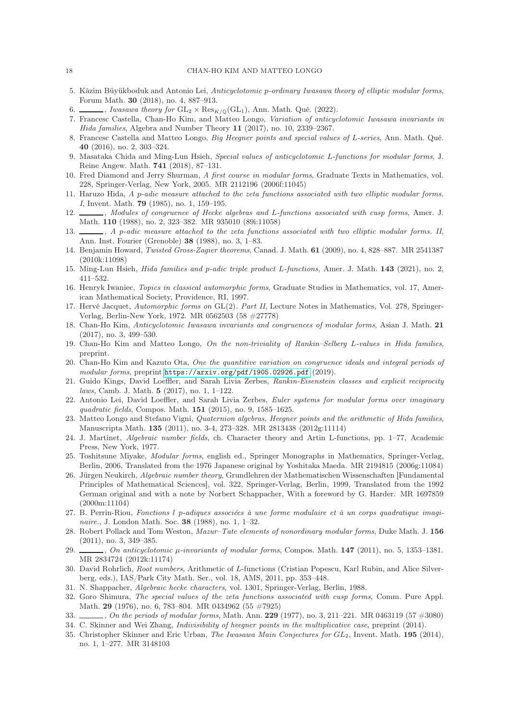- <span id="page-17-6"></span><span id="page-17-5"></span>5. Kâzim Büyükboduk and Antonio Lei, Anticyclotomic p-ordinary Iwasawa theory of elliptic modular forms, Forum Math. 30 (2018), no. 4, 887–913.
- <span id="page-17-9"></span> $\_\_$ , Iwasawa theory for  $GL_2 \times Res_{K/\mathbb{Q}}(GL_1)$ , Ann. Math. Qué. (2022).
- 7. Francesc Castella, Chan-Ho Kim, and Matteo Longo, Variation of anticyclotomic Iwasawa invariants in Hida families, Algebra and Number Theory 11 (2017), no. 10, 2339–2367.
- <span id="page-17-8"></span>8. Francesc Castella and Matteo Longo, Big Heegner points and special values of L-series, Ann. Math. Qué. 40 (2016), no. 2, 303–324.
- <span id="page-17-11"></span>9. Masataka Chida and Ming-Lun Hsieh, Special values of anticyclotomic L-functions for modular forms, J. Reine Angew. Math. 741 (2018), 87–131.
- <span id="page-17-16"></span>10. Fred Diamond and Jerry Shurman, A first course in modular forms, Graduate Texts in Mathematics, vol. 228, Springer-Verlag, New York, 2005. MR 2112196 (2006f:11045)
- <span id="page-17-0"></span>11. Haruzo Hida, A p-adic measure attached to the zeta functions associated with two elliptic modular forms. I, Invent. Math. 79 (1985), no. 1, 159–195.
- <span id="page-17-30"></span>12. Modules of congruence of Hecke algebras and L-functions associated with cusp forms, Amer. J. Math. 110 (1988), no. 2, 323–382. MR 935010 (89i:11058)
- <span id="page-17-10"></span>13.  $\_\_\_\_\$ , A p-adic measure attached to the zeta functions associated with two elliptic modular forms. II, Ann. Inst. Fourier (Grenoble) 38 (1988), no. 3, 1–83.
- <span id="page-17-23"></span>14. Benjamin Howard, Twisted Gross-Zagier theorems, Canad. J. Math. 61 (2009), no. 4, 828–887. MR 2541387 (2010k:11098)
- <span id="page-17-28"></span><span id="page-17-18"></span>15. Ming-Lun Hsieh, Hida families and p-adic triple product L-functions, Amer. J. Math. 143 (2021), no. 2, 411–532.
- <span id="page-17-20"></span>16. Henryk Iwaniec, Topics in classical automorphic forms, Graduate Studies in Mathematics, vol. 17, American Mathematical Society, Providence, RI, 1997.
- 17. Hervé Jacquet, Automorphic forms on GL(2). Part II, Lecture Notes in Mathematics, Vol. 278, Springer-Verlag, Berlin-New York, 1972. MR 0562503 (58 #27778)
- <span id="page-17-25"></span>18. Chan-Ho Kim, Anticyclotomic Iwasawa invariants and congruences of modular forms, Asian J. Math. 21 (2017), no. 3, 499–530.
- <span id="page-17-12"></span>19. Chan-Ho Kim and Matteo Longo, On the non-triviality of Rankin–Selberg L-values in Hida families, preprint.
- <span id="page-17-27"></span>20. Chan-Ho Kim and Kazuto Ota, One the quantitive variation on congruence ideals and integral periods of modular forms, preprint <https://arxiv.org/pdf/1905.02926.pdf> (2019).
- <span id="page-17-4"></span>21. Guido Kings, David Loeffler, and Sarah Livia Zerbes, Rankin-Eisenstein classes and explicit reciprocity laws, Camb. J. Math. 5 (2017), no. 1, 1–122.
- <span id="page-17-3"></span>22. Antonio Lei, David Loeffler, and Sarah Livia Zerbes, Euler systems for modular forms over imaginary quadratic fields, Compos. Math. **151** (2015), no. 9, 1585–1625.
- <span id="page-17-7"></span>23. Matteo Longo and Stefano Vigni, Quaternion algebras, Heegner points and the arithmetic of Hida families, Manuscripta Math. 135 (2011), no. 3-4, 273–328. MR 2813438 (2012g:11114)
- <span id="page-17-15"></span>24. J. Martinet, Algebraic number fields, ch. Character theory and Artin L-functions, pp. 1–77, Academic Press, New York, 1977.
- <span id="page-17-17"></span>25. Toshitsune Miyake, Modular forms, english ed., Springer Monographs in Mathematics, Springer-Verlag, Berlin, 2006, Translated from the 1976 Japanese original by Yoshitaka Maeda. MR 2194815 (2006g:11084)
- <span id="page-17-14"></span>26. Jürgen Neukirch, Algebraic number theory, Grundlehren der Mathematischen Wissenschaften [Fundamental Principles of Mathematical Sciences], vol. 322, Springer-Verlag, Berlin, 1999, Translated from the 1992 German original and with a note by Norbert Schappacher, With a foreword by G. Harder. MR 1697859 (2000m:11104)
- <span id="page-17-1"></span>27. B. Perrin-Riou, Fonctions l p-adiques associées à une forme modulaire et à un corps quadratique imaginaire., J. London Math. Soc. 38 (1988), no. 1, 1–32.
- <span id="page-17-26"></span>28. Robert Pollack and Tom Weston, Mazur–Tate elements of nonordinary modular forms, Duke Math. J. 156 (2011), no. 3, 349–385.
- <span id="page-17-24"></span>29.  $\ldots$ , On anticyclotomic  $\mu$ -invariants of modular forms, Compos. Math. 147 (2011), no. 5, 1353–1381. MR 2834724 (2012k:11174)
- <span id="page-17-19"></span>30. David Rohrlich, Root numbers, Arithmetic of L-functions (Cristian Popescu, Karl Rubin, and Alice Silverberg, eds.), IAS/Park City Math. Ser., vol. 18, AMS, 2011, pp. 353–448.
- <span id="page-17-21"></span><span id="page-17-13"></span>31. N. Shappacher, Algebraic hecke characters, vol. 1301, Springer-Verlag, Berlin, 1988.
- 32. Goro Shimura, The special values of the zeta functions associated with cusp forms, Comm. Pure Appl. Math. 29 (1976), no. 6, 783–804. MR 0434962 (55 #7925)
- <span id="page-17-29"></span><span id="page-17-22"></span>33.  $\ldots$ , On the periods of modular forms, Math. Ann. 229 (1977), no. 3, 211–221. MR 0463119 (57  $\#3080$ )
- <span id="page-17-2"></span>34. C. Skinner and Wei Zhang, Indivisibility of heegner points in the multiplicative case, preprint (2014).
- 35. Christopher Skinner and Eric Urban, The Iwasawa Main Conjectures for GL2, Invent. Math. 195 (2014), no. 1, 1–277. MR 3148103